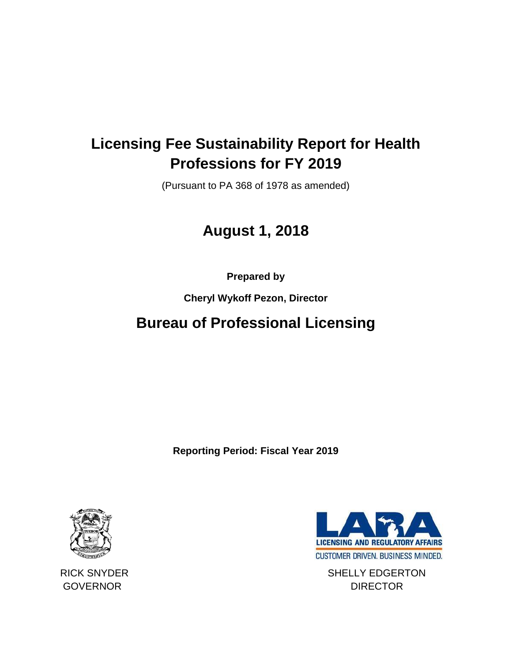## **Licensing Fee Sustainability Report for Health Professions for FY 2019**

(Pursuant to PA 368 of 1978 as amended)

# **August 1, 2018**

**Prepared by**

**Cheryl Wykoff Pezon, Director**

### **Bureau of Professional Licensing**

**Reporting Period: Fiscal Year 2019**





RICK SNYDER SHELLY EDGERTON GOVERNOR DIRECTOR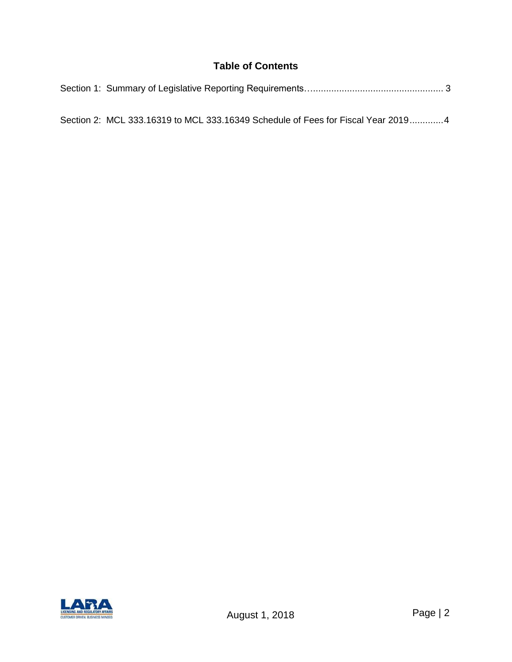#### **Table of Contents**

| Section 2: MCL 333.16319 to MCL 333.16349 Schedule of Fees for Fiscal Year 20194 |  |
|----------------------------------------------------------------------------------|--|

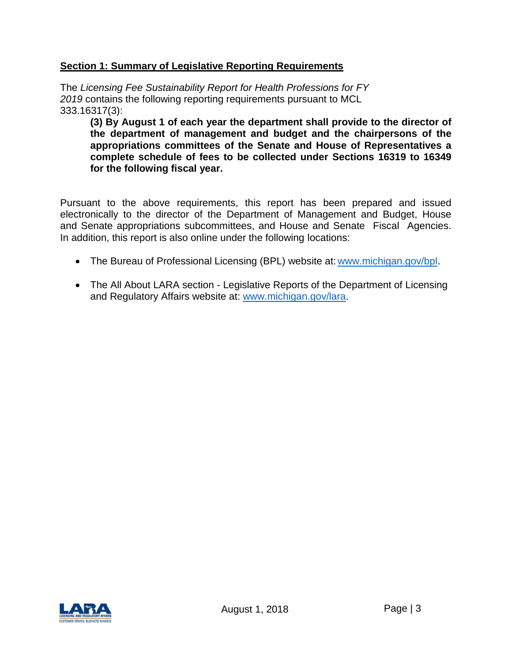#### **Section 1: Summary of Legislative Reporting Requirements**

The *Licensing Fee Sustainability Report for Health Professions for FY 2019* contains the following reporting requirements pursuant to MCL 333.16317(3):

**(3) By August 1 of each year the department shall provide to the director of the department of management and budget and the chairpersons of the appropriations committees of the Senate and House of Representatives a complete schedule of fees to be collected under Sections 16319 to 16349 for the following fiscal year.**

Pursuant to the above requirements, this report has been prepared and issued electronically to the director of the Department of Management and Budget, House and Senate appropriations subcommittees, and House and Senate Fiscal Agencies. In addition, this report is also online under the following locations:

- The Bureau of Professional Licensing (BPL) website at: [www.michigan.gov/bpl.](http://www.michigan.gov/bpl)
- The All About LARA section Legislative Reports of the Department of Licensing and Regulatory Affairs website at: [www.michigan.gov/lara.](http://www.michigan.gov/lara)

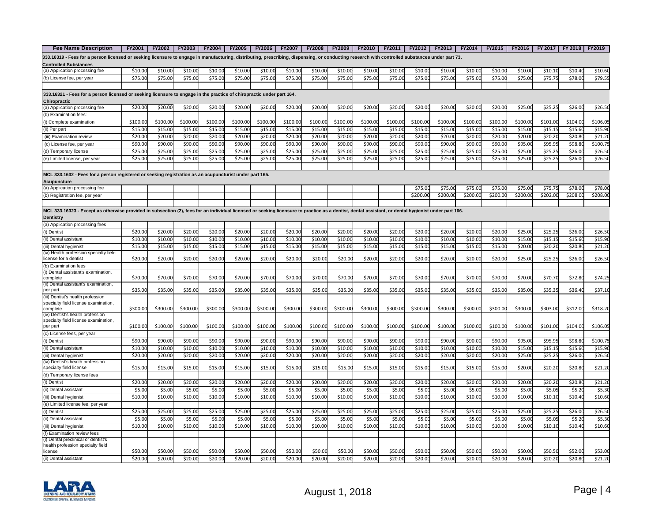| <b>Fee Name Description</b>                                                                                                                                                                          | <b>FY2001</b> | <b>FY2002</b> | <b>FY2003</b> | <b>FY2004</b> | <b>FY2005</b> | <b>FY2006</b> | <b>FY2007</b> | <b>FY2008</b> | <b>FY2009</b> | <b>FY2010</b> | FY2011  | <b>FY2012</b> | <b>FY2013</b> | <b>FY2014</b> | <b>FY2015</b> | <b>FY2016</b> | FY 2017  | FY 2018  | <b>FY2019</b> |
|------------------------------------------------------------------------------------------------------------------------------------------------------------------------------------------------------|---------------|---------------|---------------|---------------|---------------|---------------|---------------|---------------|---------------|---------------|---------|---------------|---------------|---------------|---------------|---------------|----------|----------|---------------|
| 333.16319 - Fees for a person licensed or seeking licensure to engage in manufacturing, distributing, prescribing, dispensing, or conducting research with controlled substances under part 73.      |               |               |               |               |               |               |               |               |               |               |         |               |               |               |               |               |          |          |               |
| <b>Controlled Substances</b>                                                                                                                                                                         |               |               |               |               |               |               |               |               |               |               |         |               |               |               |               |               |          |          |               |
| (a) Application processing fee                                                                                                                                                                       | \$10.00       | \$10.00       | \$10.00       | \$10.00       | \$10.00       | \$10.00       | \$10.0        | \$10.0        | \$10.0        | \$10.0        | \$10.0  | \$10.0        | \$10.0        | \$10.0        | \$10.0        | \$10.0        | \$10.1   | \$10.4   | \$10.60       |
| (b) License fee, per year                                                                                                                                                                            | \$75.00       | \$75.00       | \$75.00       | \$75.00       | \$75.00       | \$75.00       | \$75.00       | \$75.00       | \$75.00       | \$75.0        | \$75.0  | \$75.00       | \$75.0        | \$75.0        | \$75.0        | \$75.00       | \$75.75  | \$78.00  | \$79.55       |
|                                                                                                                                                                                                      |               |               |               |               |               |               |               |               |               |               |         |               |               |               |               |               |          |          |               |
| 333.16321 - Fees for a person licensed or seeking licensure to engage in the practice of chiropractic under part 164.                                                                                |               |               |               |               |               |               |               |               |               |               |         |               |               |               |               |               |          |          |               |
| Chiropractic                                                                                                                                                                                         |               |               |               |               |               |               |               |               |               |               |         |               |               |               |               |               |          |          |               |
| (a) Application processing fee                                                                                                                                                                       | \$20.00       | \$20.00       | \$20.00       | \$20.00       | \$20.00       | \$20.00       | \$20.00       | \$20.00       | \$20.00       | \$20.00       | \$20.00 | \$20.00       | \$20.00       | \$20.00       | \$20.00       | \$25.00       | \$25.2   | \$26.00  | \$26.50       |
| (b) Examination fees:                                                                                                                                                                                |               |               |               |               |               |               |               |               |               |               |         |               |               |               |               |               |          |          |               |
| (i) Complete examination                                                                                                                                                                             | \$100.00      | \$100.00      | \$100.00      | \$100.00      | \$100.00      | \$100.00      | \$100.00      | \$100.0       | \$100.00      | \$100.0       | \$100.0 | \$100.00      | \$100.0       | \$100.0       | \$100.00      | \$100.0       | \$101.00 | \$104.0  | \$106.09      |
| ii) Per part                                                                                                                                                                                         | \$15.00       | \$15.00       | \$15.00       | \$15.00       | \$15.00       | \$15.00       | \$15.00       | \$15.0        | \$15.00       | \$15.0        | \$15.0  | \$15.0        | \$15.0        | \$15.0        | \$15.0        | \$15.0        | \$15.1   | \$15.6   | \$15.90       |
| (iii) Examination review                                                                                                                                                                             | \$20.00       | \$20.0        | \$20.0        | \$20.00       | \$20.00       | \$20.0        | \$20.00       | \$20.0        | \$20.00       | \$20.0        | \$20.0  | \$20.0        | \$20.0        | \$20.0        | \$20.0        | \$20.0        | \$20.20  | \$20.8   | \$21.2        |
| (c) License fee, per year                                                                                                                                                                            | \$90.00       | \$90.00       | \$90.00       | \$90.00       | \$90.00       | \$90.00       | \$90.00       | \$90.00       | \$90.00       | \$90.0        | \$90.0  | \$90.0        | \$90.0        | \$90.0        | \$90.0        | \$95.0        | \$95.95  | \$98.8   | \$100.7       |
| (d) Temporary license                                                                                                                                                                                | \$25.00       | \$25.00       | \$25.00       | \$25.00       | \$25.00       | \$25.00       | \$25.00       | \$25.00       | \$25.00       | \$25.0        | \$25.0  | \$25.0        | \$25.0        | \$25.0        | \$25.0        | \$25.0        | \$25.2!  | \$26.0   | \$26.50       |
| (e) Limited license, per year                                                                                                                                                                        | \$25.00       | \$25.0        | \$25.00       | \$25.00       | \$25.00       | \$25.00       | \$25.00       | \$25.00       | \$25.00       | \$25.0        | \$25.0  | \$25.0        | \$25.0        | \$25.0        | \$25.0        | \$25.0        | \$25.2   | \$26.0   | \$26.50       |
|                                                                                                                                                                                                      |               |               |               |               |               |               |               |               |               |               |         |               |               |               |               |               |          |          |               |
| MCL 333.1632 - Fees for a person registered or seeking registration as an acupuncturist under part 165.                                                                                              |               |               |               |               |               |               |               |               |               |               |         |               |               |               |               |               |          |          |               |
| Acupuncture                                                                                                                                                                                          |               |               |               |               |               |               |               |               |               |               |         |               |               |               |               |               |          |          |               |
| (a) Application processing fee                                                                                                                                                                       |               |               |               |               |               |               |               |               |               |               |         | \$75.0        | \$75.0        | \$75.0        | \$75.0        | \$75.0        | \$75.7   | \$78.0   | \$78.00       |
| (b) Registration fee, per year                                                                                                                                                                       |               |               |               |               |               |               |               |               |               |               |         | \$200.00      | \$200.0       | \$200.0       | \$200.0       | \$200.0       | \$202.00 | \$208.0  | \$208.00      |
|                                                                                                                                                                                                      |               |               |               |               |               |               |               |               |               |               |         |               |               |               |               |               |          |          |               |
| MCL 333.16323 - Except as otherwise provided in subsection (2), fees for an individual licensed or seeking licensure to practice as a dentist, dental assistant, or dental hygienist under part 166. |               |               |               |               |               |               |               |               |               |               |         |               |               |               |               |               |          |          |               |
| Dentistry                                                                                                                                                                                            |               |               |               |               |               |               |               |               |               |               |         |               |               |               |               |               |          |          |               |
| (a) Application processing fees                                                                                                                                                                      |               |               |               |               |               |               |               |               |               |               |         |               |               |               |               |               |          |          |               |
| (i) Dentist                                                                                                                                                                                          | \$20.00       | \$20.00       | \$20.00       | \$20.00       | \$20.00       | \$20.00       | \$20.00       | \$20.0        | \$20.00       | \$20.0        | \$20.0  | \$20.0        | \$20.0        | \$20.0        | \$20.0        | \$25.0        | \$25.2!  | \$26.0   | \$26.50       |
| ii) Dental assistant                                                                                                                                                                                 | \$10.00       | \$10.0        | \$10.00       | \$10.00       | \$10.00       | \$10.00       | \$10.00       | \$10.00       | \$10.00       | \$10.0        | \$10.0  | \$10.00       | \$10.0        | \$10.0        | \$10.0        | \$15.0        | \$15.1   | \$15.6   | \$15.90       |
| iii) Dental hygienist                                                                                                                                                                                | \$15.00       | \$15.0        | \$15.00       | \$15.00       | \$15.00       | \$15.00       | \$15.00       | \$15.00       | \$15.00       | \$15.0        | \$15.0  | \$15.0        | \$15.0        | \$15.0        | \$15.0        | \$20.0        | \$20.20  | \$20.8   | \$21.20       |
| (iv) Health profession specialty field                                                                                                                                                               |               |               |               |               |               |               |               |               |               |               |         |               |               |               |               |               |          |          |               |
| license for a dentist                                                                                                                                                                                | \$20.00       | \$20.00       | \$20.00       | \$20.00       | \$20.00       | \$20.00       | \$20.00       | \$20.00       | \$20.00       | \$20.0        | \$20.0  | \$20.00       | \$20.00       | \$20.00       | \$20.0        | \$25.00       | \$25.25  | \$26.00  | \$26.50       |
| (b) Examination fees                                                                                                                                                                                 |               |               |               |               |               |               |               |               |               |               |         |               |               |               |               |               |          |          |               |
| (i) Dental assistant's examination,                                                                                                                                                                  | \$70.00       | \$70.00       | \$70.00       | \$70.00       | \$70.00       | \$70.0        | \$70.00       | \$70.00       | \$70.00       | \$70.0        | \$70.0  | \$70.0        | \$70.0        | \$70.0        | \$70.0        | \$70.0        | \$70.70  |          | \$74.2        |
| complete<br>(ii) Dental assistant's examination,                                                                                                                                                     |               |               |               |               |               |               |               |               |               |               |         |               |               |               |               |               |          | \$72.80  |               |
| per part                                                                                                                                                                                             | \$35.00       | \$35.00       | \$35.00       | \$35.00       | \$35.00       | \$35.0        | \$35.00       | \$35.00       | \$35.0        | \$35.0        | \$35.0  | \$35.00       | \$35.0        | \$35.0        | \$35.00       | \$35.00       | \$35.3   | \$36.40  | \$37.10       |
| (iii) Dentist's health profession                                                                                                                                                                    |               |               |               |               |               |               |               |               |               |               |         |               |               |               |               |               |          |          |               |
| specialty field license examination,                                                                                                                                                                 |               |               |               |               |               |               |               |               |               |               |         |               |               |               |               |               |          |          |               |
| complete                                                                                                                                                                                             | \$300.00      | \$300.00      | \$300.00      | \$300.00      | \$300.00      | \$300.0       | \$300.00      | \$300.0       | \$300.0       | \$300.0       | \$300.0 | \$300.00      | \$300.0       | \$300.00      | \$300.0       | \$300.0       | \$303.00 | \$312.00 | \$318.20      |
| iv) Dentist's health profession<br>specialty field license examination,                                                                                                                              |               |               |               |               |               |               |               |               |               |               |         |               |               |               |               |               |          |          |               |
| per part                                                                                                                                                                                             | \$100.00      | \$100.00      | \$100.00      | \$100.00      | \$100.00      | \$100.00      | \$100.00      | \$100.00      | \$100.00      | \$100.0       | \$100.0 | \$100.00      | \$100.0       | \$100.0       | \$100.00      | \$100.00      | \$101.00 | \$104.00 | \$106.05      |
| (c) License fees, per year                                                                                                                                                                           |               |               |               |               |               |               |               |               |               |               |         |               |               |               |               |               |          |          |               |
| (i) Dentist                                                                                                                                                                                          | \$90.00       | \$90.00       | \$90.0        | \$90.00       | \$90.0        | \$90.0        | \$90.00       | \$90.0        | \$90.00       | \$90.0        | \$90.0  | \$90.0        | \$90.0        | \$90.0        | \$90.0        | \$95.0        | \$95.9   | \$98.8   | \$100.75      |
| ii) Dental assistant                                                                                                                                                                                 | \$10.00       | \$10.0        | \$10.00       | \$10.00       | \$10.00       | \$10.00       | \$10.00       | \$10.00       | \$10.00       | \$10.0        | \$10.0  | \$10.0        | \$10.0        | \$10.0        | \$10.0        | \$15.0        | \$15.15  | \$15.6   | \$15.90       |
| iii) Dental hygienist                                                                                                                                                                                | \$20.00       | \$20.0        | \$20.0        | \$20.00       | \$20.0        | \$20.00       | \$20.0        | \$20.00       | \$20.00       | \$20.0        | \$20.0  | \$20.0        | \$20.0        | \$20.0        | \$20.0        | \$25.0        | \$25.2!  | \$26.0   | \$26.50       |
| (iv) Dentist's health profession                                                                                                                                                                     |               |               |               |               |               |               |               |               |               |               |         |               |               |               |               |               |          |          |               |
| specialty field license                                                                                                                                                                              | \$15.00       | \$15.00       | \$15.00       | \$15.00       | \$15.00       | \$15.00       | \$15.00       | \$15.00       | \$15.00       | \$15.0        | \$15.00 | \$15.00       | \$15.00       | \$15.00       | \$15.00       | \$20.00       | \$20.20  | \$20.80  | \$21.20       |
| (d) Temporary license fees                                                                                                                                                                           |               |               |               |               |               |               |               |               |               |               |         |               |               |               |               |               |          |          |               |
| (i) Dentist                                                                                                                                                                                          | \$20.00       | \$20.0        | \$20.0        | \$20.00       | \$20.0        | \$20.0        | \$20.00       | \$20.0        | \$20.00       | \$20.0        | \$20.0  | \$20.0        | \$20.0        | \$20.0        | \$20.0        | \$20.0        | \$20.20  | \$20.8   | \$21.2        |
| ii) Dental assistant                                                                                                                                                                                 | \$5.00        | \$5.00        | \$5.00        | \$5.00        | \$5.00        | \$5.00        | \$5.00        | \$5.00        | \$5.00        | \$5.0         | \$5.0   | \$5.0         | \$5.0         | \$5.0         | \$5.00        | \$5.0         | \$5.05   | \$5.2    | \$5.30        |
| iii) Dental hygienist                                                                                                                                                                                | \$10.00       | \$10.00       | \$10.00       | \$10.00       | \$10.00       | \$10.00       | \$10.00       | \$10.00       | \$10.00       | \$10.0        | \$10.0  | \$10.00       | \$10.0        | \$10.0        | \$10.0        | \$10.0        | \$10.10  | \$10.4   | \$10.60       |
| (e) Limited license fee, per year                                                                                                                                                                    |               |               |               |               |               |               |               |               |               |               |         |               |               |               |               |               |          |          |               |
| (i) Dentist                                                                                                                                                                                          | \$25.00       | \$25.00       | \$25.00       | \$25.00       | \$25.00       | \$25.00       | \$25.00       | \$25.00       | \$25.00       | \$25.0        | \$25.0  | \$25.0        | \$25.0        | \$25.0        | \$25.00       | \$25.0        | \$25.25  | \$26.00  | \$26.50       |
| (ii) Dental assistant                                                                                                                                                                                | \$5.00        | \$5.00        | \$5.00        | \$5.00        | \$5.00        | \$5.00        | \$5.00        | \$5.00        | \$5.00        | \$5.0         | \$5.00  | \$5.00        | \$5.0         | \$5.0         | \$5.00        | \$5.0         | \$5.05   | \$5.2    | \$5.30        |
| (iii) Dental hygienist                                                                                                                                                                               | \$10.00       | \$10.00       | \$10.00       | \$10.00       | \$10.00       | \$10.00       | \$10.00       | \$10.00       | \$10.00       | \$10.0        | \$10.0  | \$10.0        | \$10.0        | \$10.0        | \$10.0        | \$10.0        | \$10.10  | \$10.40  | \$10.60       |
| (f) Examination review fees                                                                                                                                                                          |               |               |               |               |               |               |               |               |               |               |         |               |               |               |               |               |          |          |               |
| (i) Dental preclinical or dentist's                                                                                                                                                                  |               |               |               |               |               |               |               |               |               |               |         |               |               |               |               |               |          |          |               |
| health profession specialty field                                                                                                                                                                    |               |               |               |               |               |               |               |               |               |               |         |               |               |               |               |               |          |          |               |
| license                                                                                                                                                                                              | \$50.00       | \$50.00       | \$50.00       | \$50.00       | \$50.00       | \$50.00       | \$50.00       | \$50.00       | \$50.00       | \$50.00       | \$50.00 | \$50.00       | \$50.00       | \$50.00       | \$50.00       | \$50.00       | \$50.50  | \$52.00  | \$53.00       |



(ii) Dental assistant | \$20.00| \$20.00| \$20.00| \$20.00| \$20.00| \$20.00| \$20.00| \$20.00| \$20.00| \$20.00| \$20.00 \$20.00 \$20.00 \$20.00 \$20.00 \$20.20 \$20.20 \$20.20 \$20.20 \$20.20 \$20.20 \$20.20 \$20.20 \$20.20 \$20.20 \$20.20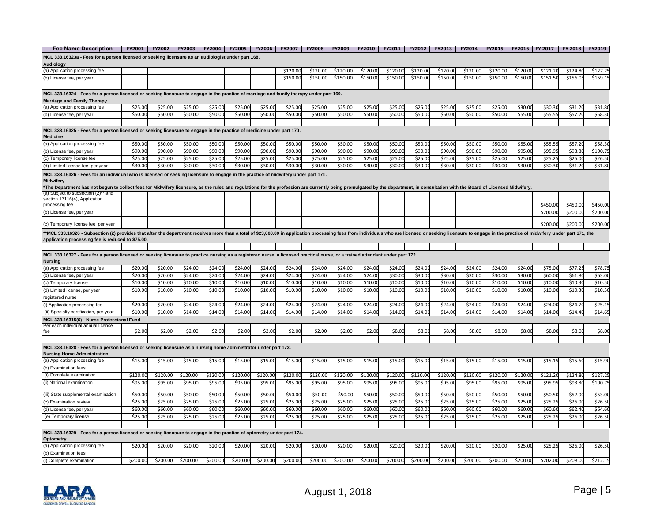| <b>Fee Name Description</b>                                                                                                                                                                                                                                                          | FY2001   | <b>FY2002</b> | <b>FY2003</b> | <b>FY2004</b> | <b>FY2005</b> | <b>FY2006</b> | FY2007   | <b>FY2008</b> | FY2009   | <b>FY2010</b> | FY2011   | <b>FY2012</b> | FY2013   | <b>FY2014</b> | <b>FY2015</b> | FY2016   FY 2017 |          | FY 2018  | FY2019   |
|--------------------------------------------------------------------------------------------------------------------------------------------------------------------------------------------------------------------------------------------------------------------------------------|----------|---------------|---------------|---------------|---------------|---------------|----------|---------------|----------|---------------|----------|---------------|----------|---------------|---------------|------------------|----------|----------|----------|
| MCL 333.16323a - Fees for a person licensed or seeking licensure as an audiologist under part 168.                                                                                                                                                                                   |          |               |               |               |               |               |          |               |          |               |          |               |          |               |               |                  |          |          |          |
| Audiology                                                                                                                                                                                                                                                                            |          |               |               |               |               |               |          |               |          |               |          |               |          |               |               |                  |          |          |          |
| (a) Application processing fee                                                                                                                                                                                                                                                       |          |               |               |               |               |               | \$120.00 | \$120.00      | \$120.00 | \$120.00      | \$120.0  | \$120.00      | \$120.0  | \$120.00      | \$120.00      | \$120.00         | \$121.20 | \$124.8  | \$127.2  |
| (b) License fee, per year                                                                                                                                                                                                                                                            |          |               |               |               |               |               | \$150.00 | \$150.00      | \$150.00 | \$150.00      | \$150.0  | \$150.00      | \$150.00 | \$150.00      | \$150.00      | \$150.00         | \$151.50 | \$156.0  | \$159.15 |
|                                                                                                                                                                                                                                                                                      |          |               |               |               |               |               |          |               |          |               |          |               |          |               |               |                  |          |          |          |
| MCL 333.16324 - Fees for a person licensed or seeking licensure to engage in the practice of marriage and family therapy under part 169.                                                                                                                                             |          |               |               |               |               |               |          |               |          |               |          |               |          |               |               |                  |          |          |          |
| <b>Marriage and Family Therapy</b>                                                                                                                                                                                                                                                   |          |               |               |               |               |               |          |               |          |               |          |               |          |               |               |                  |          |          |          |
| (a) Application processing fee                                                                                                                                                                                                                                                       | \$25.00  | \$25.00       | \$25.00       | \$25.00       | \$25.00       | \$25.00       | \$25.00  | \$25.00       | \$25.0   | \$25.0        | \$25.0   | \$25.0        | \$25.0   | \$25.0        | \$25.0        | \$30.0           | \$30.3   | \$31.2   | \$31.8   |
| (b) License fee, per year                                                                                                                                                                                                                                                            | \$50.00  | \$50.00       | \$50.00       | \$50.00       | \$50.00       | \$50.00       | \$50.00  | \$50.00       | \$50.00  | \$50.0        | \$50.00  | \$50.00       | \$50.0   | \$50.00       | \$50.00       | \$55.00          | \$55.5   | \$57.2   | \$58.30  |
|                                                                                                                                                                                                                                                                                      |          |               |               |               |               |               |          |               |          |               |          |               |          |               |               |                  |          |          |          |
| MCL 333.16325 - Fees for a person licensed or seeking licensure to engage in the practice of medicine under part 170.                                                                                                                                                                |          |               |               |               |               |               |          |               |          |               |          |               |          |               |               |                  |          |          |          |
| <b>Medicine</b>                                                                                                                                                                                                                                                                      |          |               |               |               |               |               |          |               |          |               |          |               |          |               |               |                  |          |          |          |
| (a) Application processing fee                                                                                                                                                                                                                                                       | \$50.00  | \$50.00       | \$50.00       | \$50.00       | \$50.00       | \$50.00       | \$50.00  | \$50.00       | \$50.00  | \$50.0        | \$50.0   | \$50.0        | \$50.0   | \$50.0        | \$50.0        | \$55.0           | \$55.5   | \$57.2   | \$58.30  |
| (b) License fee, per year                                                                                                                                                                                                                                                            | \$90.00  | \$90.00       | \$90.00       | \$90.00       | \$90.00       | \$90.00       | \$90.00  | \$90.00       | \$90.00  | \$90.0        | \$90.00  | \$90.0        | \$90.0   | \$90.00       | \$90.00       | \$95.00          | \$95.9   | \$98.8   | \$100.7  |
| (c) Temporary license fee                                                                                                                                                                                                                                                            | \$25.00  | \$25.00       | \$25.00       | \$25.00       | \$25.00       | \$25.00       | \$25.00  | \$25.00       | \$25.00  | \$25.0        | \$25.00  | \$25.0        | \$25.0   | \$25.00       | \$25.00       | \$25.00          | \$25.2!  | \$26.0   | \$26.50  |
| (d) Limited license fee, per year                                                                                                                                                                                                                                                    | \$30.00  | \$30.00       | \$30.00       | \$30.00       | \$30.00       | \$30.00       | \$30.00  | \$30.00       | \$30.00  | \$30.0        | \$30.00  | \$30.0        | \$30.0   | \$30.00       | \$30.00       | \$30.00          | \$30.30  | \$31.20  | \$31.80  |
| MCL 333.16326 - Fees for an individual who is licensed or seeking licensure to engage in the practice of midwifery under part 171.                                                                                                                                                   |          |               |               |               |               |               |          |               |          |               |          |               |          |               |               |                  |          |          |          |
| Midwifery                                                                                                                                                                                                                                                                            |          |               |               |               |               |               |          |               |          |               |          |               |          |               |               |                  |          |          |          |
| The Department has not begun to collect fees for Midwifery licensure, as the rules and regulations for the profession are currently being promulgated by the department, in consultation with the Board of Licensed Midwifery.                                                       |          |               |               |               |               |               |          |               |          |               |          |               |          |               |               |                  |          |          |          |
| (a) Subject to subsection (2)** and                                                                                                                                                                                                                                                  |          |               |               |               |               |               |          |               |          |               |          |               |          |               |               |                  |          |          |          |
| section 17116(4), Application                                                                                                                                                                                                                                                        |          |               |               |               |               |               |          |               |          |               |          |               |          |               |               |                  |          |          |          |
| processing fee                                                                                                                                                                                                                                                                       |          |               |               |               |               |               |          |               |          |               |          |               |          |               |               |                  | \$450.00 | \$450.00 | \$450.00 |
| (b) License fee, per year                                                                                                                                                                                                                                                            |          |               |               |               |               |               |          |               |          |               |          |               |          |               |               |                  | \$200.00 | \$200.00 | \$200.00 |
| (c) Temporary license fee, per year                                                                                                                                                                                                                                                  |          |               |               |               |               |               |          |               |          |               |          |               |          |               |               |                  | \$200.00 | \$200.00 | \$200.00 |
|                                                                                                                                                                                                                                                                                      |          |               |               |               |               |               |          |               |          |               |          |               |          |               |               |                  |          |          |          |
| *MCL 333.16326 - Subsection (2) provides that after the department receives more than a total of \$23,000.00 in application processing fees from individuals who are licensed or seeking licensure to engage in the practice of<br>application processing fee is reduced to \$75.00. |          |               |               |               |               |               |          |               |          |               |          |               |          |               |               |                  |          |          |          |
|                                                                                                                                                                                                                                                                                      |          |               |               |               |               |               |          |               |          |               |          |               |          |               |               |                  |          |          |          |
| MCL 333.16327 - Fees for a person licensed or seeking licensure to practice nursing as a registered nurse, a licensed practical nurse, or a trained attendant under part 172.                                                                                                        |          |               |               |               |               |               |          |               |          |               |          |               |          |               |               |                  |          |          |          |
| Nursing                                                                                                                                                                                                                                                                              |          |               |               |               |               |               |          |               |          |               |          |               |          |               |               |                  |          |          |          |
| (a) Application processing fee                                                                                                                                                                                                                                                       | \$20.00  | \$20.00       | \$24.00       | \$24.00       | \$24.00       | \$24.00       | \$24.00  | \$24.00       | \$24.00  | \$24.00       | \$24.00  | \$24.00       | \$24.00  | \$24.00       | \$24.00       | \$24.00          | \$75.00  | \$77.2   | \$78.75  |
| (b) License fee, per year                                                                                                                                                                                                                                                            | \$20.00  | \$20.00       | \$24.00       | \$24.00       | \$24.0        | \$24.0        | \$24.00  | \$24.00       | \$24.00  | \$24.0        | \$30.0   | \$30.0        | \$30.0   | \$30.0        | \$30.0        | \$30.0           | \$60.0   | \$61.8   | \$63.0   |
| c) Temporary license                                                                                                                                                                                                                                                                 | \$10.00  | \$10.00       | \$10.00       | \$10.00       | \$10.0        | \$10.00       | \$10.00  | \$10.00       | \$10.00  | \$10.0        | \$10.0   | \$10.0        | \$10.0   | \$10.0        | \$10.0        | \$10.0           | \$10.0   | \$10.3   | \$10.50  |
| (d) Limited license, per year                                                                                                                                                                                                                                                        | \$10.00  | \$10.00       | \$10.00       | \$10.00       | \$10.00       | \$10.00       | \$10.00  | \$10.00       | \$10.00  | \$10.0        | \$10.0   | \$10.0        | \$10.0   | \$10.0        | \$10.0        | \$10.0           | \$10.0   | \$10.3   | \$10.50  |
| registered nurse                                                                                                                                                                                                                                                                     |          |               |               |               |               |               |          |               |          |               |          |               |          |               |               |                  |          |          |          |
| i) Application processing fee                                                                                                                                                                                                                                                        | \$20.00  | \$20.00       | \$24.00       | \$24.00       | \$24.00       | \$24.00       | \$24.00  | \$24.00       | \$24.00  | \$24.0        | \$24.0   | \$24.0        | \$24.0   | \$24.00       | \$24.00       | \$24.00          | \$24.00  | \$24.7   | \$25.1   |
| (ii) Specialty certification, per year                                                                                                                                                                                                                                               | \$10.00  | \$10.00       | \$14.00       | \$14.00       | \$14.00       | \$14.00       | \$14.00  | \$14.00       | \$14.00  | \$14.0        | \$14.0   | \$14.0        | \$14.0   | \$14.00       | \$14.0        | \$14.00          | \$14.00  | \$14.4   | \$14.65  |
| MCL 333.16315(6) - Nurse Professional Fund                                                                                                                                                                                                                                           |          |               |               |               |               |               |          |               |          |               |          |               |          |               |               |                  |          |          |          |
| Per each individual annual license                                                                                                                                                                                                                                                   |          |               |               |               |               |               |          |               |          |               |          |               |          |               |               |                  |          |          |          |
| fee                                                                                                                                                                                                                                                                                  | \$2.00   | \$2.00        | \$2.00        | \$2.00        | \$2.00        | \$2.00        | \$2.00   | \$2.00        | \$2.00   | \$2.00        | \$8.00   | \$8.00        | \$8.00   | \$8.00        | \$8.00        | \$8.00           | \$8.0    | \$8.00   | \$8.00   |
|                                                                                                                                                                                                                                                                                      |          |               |               |               |               |               |          |               |          |               |          |               |          |               |               |                  |          |          |          |
| MCL 333.16328 - Fees for a person licensed or seeking licensure as a nursing home administrator under part 173.                                                                                                                                                                      |          |               |               |               |               |               |          |               |          |               |          |               |          |               |               |                  |          |          |          |
| <b>Nursing Home Administration</b>                                                                                                                                                                                                                                                   |          |               |               |               |               |               |          |               |          |               |          |               |          |               |               |                  |          |          |          |
| (a) Application processing fee                                                                                                                                                                                                                                                       | \$15.00  | \$15.00       | \$15.00       | \$15.00       | \$15.00       | \$15.00       | \$15.00  | \$15.00       | \$15.00  | \$15.0        | \$15.00  | \$15.00       | \$15.00  | \$15.00       | \$15.00       | \$15.00          | \$15.15  | \$15.60  | \$15.90  |
| (b) Examination fees                                                                                                                                                                                                                                                                 |          |               |               |               |               |               |          |               |          |               |          |               |          |               |               |                  |          |          |          |
| (i) Complete examination                                                                                                                                                                                                                                                             | \$120.00 | \$120.00      | \$120.00      | \$120.00      | \$120.00      | \$120.00      | \$120.00 | \$120.0       | \$120.00 | \$120.0       | \$120.0  | \$120.00      | \$120.0  | \$120.0       | \$120.0       | \$120.0          | \$121.2  | \$124.8  | \$127.2  |
| ii) National examination                                                                                                                                                                                                                                                             | \$95.00  | \$95.00       | \$95.00       | \$95.00       | \$95.00       | \$95.00       | \$95.00  | \$95.00       | \$95.00  | \$95.0        | \$95.0   | \$95.0        | \$95.0   | \$95.0        | \$95.0        | \$95.0           | \$95.9   | \$98.8   | \$100.7  |
|                                                                                                                                                                                                                                                                                      |          |               |               |               |               |               |          |               |          |               |          |               |          |               |               |                  |          |          |          |
| iii) State supplemental examination                                                                                                                                                                                                                                                  | \$50.00  | \$50.00       | \$50.00       | \$50.00       | \$50.00       | \$50.00       | \$50.00  | \$50.00       | \$50.00  | \$50.0        | \$50.0   | \$50.0        | \$50.0   | \$50.00       | \$50.00       | \$50.00          | \$50.50  | \$52.0   | \$53.0   |
| c) Examination review                                                                                                                                                                                                                                                                | \$25.00  | \$25.00       | \$25.00       | \$25.00       | \$25.00       | \$25.00       | \$25.00  | \$25.00       | \$25.00  | \$25.0        | \$25.0   | \$25.0        | \$25.0   | \$25.0        | \$25.0        | \$25.0           | \$25.2   | \$26.0   | \$26.50  |
| (d) License fee, per year                                                                                                                                                                                                                                                            | \$60.00  | \$60.00       | \$60.00       | \$60.00       | \$60.00       | \$60.00       | \$60.00  | \$60.00       | \$60.00  | \$60.0        | \$60.00  | \$60.0        | \$60.0   | \$60.00       | \$60.00       | \$60.00          | \$60.60  | \$62.4   | \$64.60  |
| (e) Temporary license                                                                                                                                                                                                                                                                | \$25.00  | \$25.00       | \$25.00       | \$25.00       | \$25.00       | \$25.00       | \$25.00  | \$25.00       | \$25.00  | \$25.0        | \$25.00  | \$25.00       | \$25.0   | \$25.00       | \$25.00       | \$25.00          | \$25.2   | \$26.0   | \$26.50  |
|                                                                                                                                                                                                                                                                                      |          |               |               |               |               |               |          |               |          |               |          |               |          |               |               |                  |          |          |          |
| MCL 333.16329 - Fees for a person licensed or seeking licensure to engage in the practice of optometry under part 174.                                                                                                                                                               |          |               |               |               |               |               |          |               |          |               |          |               |          |               |               |                  |          |          |          |
| Optometry                                                                                                                                                                                                                                                                            |          |               |               |               |               |               |          |               |          |               |          |               |          |               |               |                  |          |          |          |
| (a) Application processing fee                                                                                                                                                                                                                                                       | \$20.00  | \$20.00       | \$20.00       | \$20.00       | \$20.00       | \$20.00       | \$20.00  | \$20.00       | \$20.00  | \$20.00       | \$20.00  | \$20.00       | \$20.00  | \$20.00       | \$20.00       | \$25.00          | \$25.2!  | \$26.00  | \$26.50  |
| (b) Examination fees                                                                                                                                                                                                                                                                 |          |               |               |               |               |               |          |               |          |               |          |               |          |               |               |                  |          |          |          |
| (i) Complete examination                                                                                                                                                                                                                                                             | \$200.00 | \$200.00      | \$200.00      | \$200.00      | \$200.00      | \$200.00      | \$200.00 | \$200.00      | \$200.00 | \$200.00      | \$200.00 | \$200.00      | \$200.00 | \$200.00      | \$200.00      | \$200.00         | \$202.00 | \$208.00 | \$212.15 |

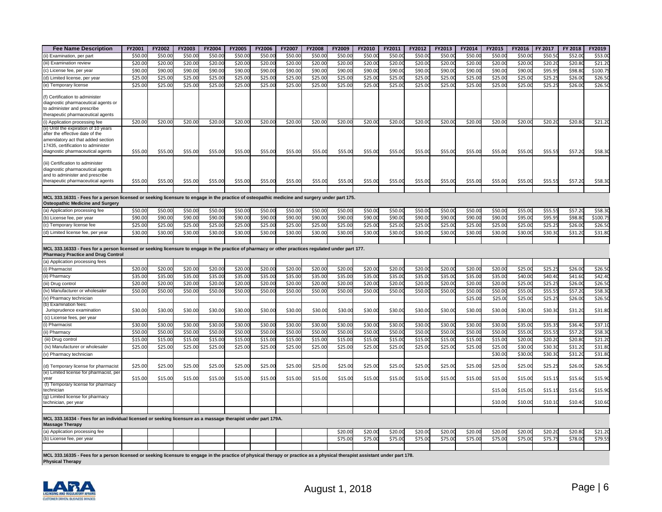| <b>Fee Name Description</b>                                                                                                                                                                            | FY2001  | FY2002  | FY2003  | FY2004  | FY2005  | FY2006  | FY2007  | FY2008  | FY2009  | FY2010  | FY2011  | FY2012 | FY2013  | FY2014  | FY2015  | FY2016             | FY 2017 | FY 2018 | FY2019   |
|--------------------------------------------------------------------------------------------------------------------------------------------------------------------------------------------------------|---------|---------|---------|---------|---------|---------|---------|---------|---------|---------|---------|--------|---------|---------|---------|--------------------|---------|---------|----------|
| (ii) Examination, per part                                                                                                                                                                             | \$50.00 | \$50.0  | \$50.00 | \$50.0  | \$50.00 | \$50.00 | \$50.0  | \$50.0  | \$50.00 | \$50.0  | \$50.0  | \$50.0 | \$50.0  | \$50.0  | \$50.0  | \$50.0             | \$50.5  | \$52.0  | \$53.0   |
| (iii) Examination review                                                                                                                                                                               | \$20.00 | \$20.0  | \$20.00 | \$20.00 | \$20.00 | \$20.00 | \$20.0  | \$20.0  | \$20.00 | \$20.0  | \$20.0  | \$20.0 | \$20.0  | \$20.0  | \$20.0  | \$20.0             | \$20.20 | \$20.8  | \$21.20  |
| (c) License fee, per year                                                                                                                                                                              | \$90.00 | \$90.00 | \$90.00 | \$90.00 | \$90.00 | \$90.00 | \$90.00 | \$90.00 | \$90.00 | \$90.0  | \$90.0  | \$90.0 | \$90.0  | \$90.00 | \$90.0  | \$90.0             | \$95.95 | \$98.8  | \$100.75 |
| (d) Limited license, per year                                                                                                                                                                          | \$25.00 | \$25.00 | \$25.00 | \$25.00 | \$25.00 | \$25.00 | \$25.00 | \$25.00 | \$25.00 | \$25.00 | \$25.0  | \$25.0 | \$25.0  | \$25.0  | \$25.0  | \$25.0             | \$25.2! | \$26.0  | \$26.50  |
| (e) Temporary license                                                                                                                                                                                  | \$25.00 | \$25.00 | \$25.00 | \$25.00 | \$25.00 | \$25.00 | \$25.00 | \$25.00 | \$25.00 | \$25.00 | \$25.0  | \$25.0 | \$25.00 | \$25.0  | \$25.0  | $\overline{$}25.0$ | \$25.25 | \$26.0  | \$26.50  |
| (f) Certification to administer<br>diagnostic pharmaceutical agents or<br>to administer and prescribe<br>therapeutic pharmaceutical agents                                                             |         |         |         |         |         |         |         |         |         |         |         |        |         |         |         |                    |         |         |          |
| (i) Application processing fee                                                                                                                                                                         | \$20.00 | \$20.00 | \$20.00 | \$20.00 | \$20.00 | \$20.00 | \$20.00 | \$20.00 | \$20.00 | \$20.00 | \$20.00 | \$20.0 | \$20.00 | \$20.0  | \$20.0  | \$20.00            | \$20.20 | \$20.8  | \$21.20  |
| (ii) Until the expiration of 10 years<br>after the effective date of the<br>amendatory act that added section<br>17435, certification to administer<br>diagnostic pharmaceutical agents                | \$55.00 | \$55.00 | \$55.00 | \$55.00 | \$55.00 | \$55.00 | \$55.00 | \$55.00 | \$55.00 | \$55.00 | \$55.00 | \$55.0 | \$55.00 | \$55.00 | \$55.00 | \$55.00            | \$55.55 | \$57.20 | \$58.30  |
| (iii) Certification to administer<br>diagnostic pharmaceutical agents<br>and to administer and prescribe<br>therapeutic pharmaceutical agents                                                          | \$55.00 | \$55.00 | \$55.00 | \$55.00 | \$55.00 | \$55.00 | \$55.00 | \$55.00 | \$55.00 | \$55.00 | \$55.00 | \$55.0 | \$55.00 | \$55.00 | \$55.0  | \$55.00            | \$55.55 | \$57.20 | \$58.30  |
| MCL 333.16331 - Fees for a person licensed or seeking licensure to engage in the practice of osteopathic medicine and surgery under part 175.<br><b>Osteopathic Medicine and Surgery</b>               |         |         |         |         |         |         |         |         |         |         |         |        |         |         |         |                    |         |         |          |
| (a) Application processing fee                                                                                                                                                                         | \$50.00 | \$50.00 | \$50.00 | \$50.00 | \$50.00 | \$50.00 | \$50.00 | \$50.00 | \$50.00 | \$50.00 | \$50.0  | \$50.0 | \$50.0  | \$50.0  | \$50.0  | \$55.0             | \$55.5  | \$57.2  | \$58.30  |
| (b) License fee, per year                                                                                                                                                                              | \$90.00 | \$90.00 | \$90.00 | \$90.00 | \$90.00 | \$90.00 | \$90.00 | \$90.00 | \$90.00 | \$90.0  | \$90.0  | \$90.0 | \$90.0  | \$90.0  | \$90.0  | \$95.0             | \$95.95 | \$98.8  | \$100.7  |
| (c) Temporary license fee                                                                                                                                                                              | \$25.00 | \$25.00 | \$25.00 | \$25.00 | \$25.00 | \$25.00 | \$25.0  | \$25.00 | \$25.00 | \$25.0  | \$25.0  | \$25.0 | \$25.0  | \$25.0  | \$25.0  | \$25.0             | \$25.25 | \$26.0  | \$26.50  |
| (d) Limited license fee, per year                                                                                                                                                                      | \$30.00 | \$30.00 | \$30.00 | \$30.00 | \$30.00 | \$30.00 | \$30.00 | \$30.00 | \$30.00 | \$30.00 | \$30.0  | \$30.0 | \$30.00 | \$30.0  | \$30.0  | \$30.0             | \$30.30 | \$31.2  | \$31.80  |
|                                                                                                                                                                                                        |         |         |         |         |         |         |         |         |         |         |         |        |         |         |         |                    |         |         |          |
| MCL 333.16333 - Fees for a person licensed or seeking licensure to engage in the practice of pharmacy or other practices regulated under part 177.<br><b>Pharmacy Practice and Drug Control</b>        |         |         |         |         |         |         |         |         |         |         |         |        |         |         |         |                    |         |         |          |
| (a) Application processing fees                                                                                                                                                                        |         |         |         |         |         |         |         |         |         |         |         |        |         |         |         |                    |         |         |          |
| (i) Pharmacist                                                                                                                                                                                         | \$20.00 | \$20.00 | \$20.00 | \$20.00 | \$20.00 | \$20.00 | \$20.00 | \$20.00 | \$20.00 | \$20.00 | \$20.0  | \$20.0 | \$20.0  | \$20.00 | \$20.0  | \$25.0             | \$25.25 | \$26.0  | \$26.50  |
| (ii) Pharmacy                                                                                                                                                                                          | \$35.00 | \$35.00 | \$35.00 | \$35.00 | \$35.00 | \$35.00 | \$35.0  | \$35.00 | \$35.00 | \$35.0  | \$35.0  | \$35.0 | \$35.00 | \$35.0  | \$35.0  | \$40.0             | \$40.40 | \$41.6  | \$42.40  |
| (iii) Drug control                                                                                                                                                                                     | \$20.00 | \$20.0  | \$20.00 | \$20.0  | \$20.00 | \$20.00 | \$20.0  | \$20.00 | \$20.00 | \$20.0  | \$20.0  | \$20.0 | \$20.0  | \$20.0  | \$20.0  | \$25.0             | \$25.2! | \$26.0  | \$26.50  |
| (iv) Manufacturer or wholesaler                                                                                                                                                                        | \$50.00 | \$50.00 | \$50.00 | \$50.00 | \$50.00 | \$50.00 | \$50.00 | \$50.00 | \$50.00 | \$50.00 | \$50.00 | \$50.0 | \$50.00 | \$50.0  | \$50.0  | \$55.0             | \$55.55 | \$57.2  | \$58.30  |
| (v) Pharmacy technician<br>(b) Examination fees:                                                                                                                                                       |         |         |         |         |         |         |         |         |         |         |         |        |         | \$25.0  | \$25.0  | \$25.0             | \$25.25 | \$26.0  | \$26.50  |
| Jurisprudence examination                                                                                                                                                                              | \$30.00 | \$30.00 | \$30.00 | \$30.00 | \$30.00 | \$30.00 | \$30.00 | \$30.00 | \$30.00 | \$30.00 | \$30.00 | \$30.0 | \$30.00 | \$30.00 | \$30.0  | \$30.00            | \$30.30 | \$31.20 | \$31.80  |
| (c) License fees, per year                                                                                                                                                                             |         |         |         |         |         |         |         |         |         |         |         |        |         |         |         |                    |         |         |          |
| (i) Pharmacist                                                                                                                                                                                         | \$30.00 | \$30.00 | \$30.00 | \$30.00 | \$30.00 | \$30.00 | \$30.00 | \$30.00 | \$30.00 | \$30.0  | \$30.0  | \$30.0 | \$30.0  | \$30.00 | \$30.0  | \$35.0             | \$35.35 | \$36.40 | \$37.10  |
| (ii) Pharmacy                                                                                                                                                                                          | \$50.00 | \$50.00 | \$50.00 | \$50.00 | \$50.00 | \$50.00 | \$50.0  | \$50.00 | \$50.00 | \$50.0  | \$50.0  | \$50.0 | \$50.0  | \$50.0  | \$50.0  | \$55.0             | \$55.55 | \$57.2  | \$58.30  |
| (iii) Drug control                                                                                                                                                                                     | \$15.00 | \$15.0  | \$15.00 | \$15.00 | \$15.00 | \$15.00 | \$15.0  | \$15.00 | \$15.00 | \$15.0  | \$15.0  | \$15.0 | \$15.0  | \$15.0  | \$15.0  | \$20.0             | \$20.20 | \$20.8  | \$21.20  |
| (iv) Manufacturer or wholesaler                                                                                                                                                                        | \$25.00 | \$25.00 | \$25.00 | \$25.00 | \$25.00 | \$25.00 | \$25.00 | \$25.00 | \$25.00 | \$25.00 | \$25.00 | \$25.0 | \$25.00 | \$25.00 | \$25.0  | \$30.0             | \$30.30 | \$31.2  | \$31.80  |
| (v) Pharmacy technician                                                                                                                                                                                |         |         |         |         |         |         |         |         |         |         |         |        |         |         | \$30.0  | \$30.0             | \$30.30 | \$31.2  | \$31.80  |
| (d) Temporary license for pharmacist                                                                                                                                                                   | \$25.00 | \$25.00 | \$25.00 | \$25.00 | \$25.00 | \$25.00 | \$25.00 | \$25.00 | \$25.00 | \$25.0  | \$25.0  | \$25.0 | \$25.00 | \$25.00 | \$25.0  | \$25.0             | \$25.25 | \$26.0  | \$26.50  |
| (e) Limited license for pharmacist, per<br>vear                                                                                                                                                        | \$15.00 | \$15.00 | \$15.00 | \$15.00 | \$15.00 | \$15.00 | \$15.00 | \$15.00 | \$15.00 | \$15.00 | \$15.00 | \$15.0 | \$15.00 | \$15.00 | \$15.0  | \$15.00            | \$15.15 | \$15.6  | \$15.90  |
| (f) Temporary license for pharmacy<br>technician                                                                                                                                                       |         |         |         |         |         |         |         |         |         |         |         |        |         |         | \$15.0  | \$15.00            | \$15.1  | \$15.60 | \$15.90  |
| (g) Limited license for pharmacy                                                                                                                                                                       |         |         |         |         |         |         |         |         |         |         |         |        |         |         |         |                    |         |         |          |
| technician, per year                                                                                                                                                                                   |         |         |         |         |         |         |         |         |         |         |         |        |         |         | \$10.0  | \$10.00            | \$10.10 | \$10.40 | \$10.60  |
| MCL 333.16334 - Fees for an individual licensed or seeking licensure as a massage therapist under part 179A.<br><b>Massage Therapy</b>                                                                 |         |         |         |         |         |         |         |         |         |         |         |        |         |         |         |                    |         |         |          |
| (a) Application processing fee                                                                                                                                                                         |         |         |         |         |         |         |         |         | \$20.00 | \$20.0  | \$20.0  | \$20.0 | \$20.0  | \$20.0  | \$20.0  | \$20.0             | \$20.2  | \$20.8  | \$21.20  |
| (b) License fee, per year                                                                                                                                                                              |         |         |         |         |         |         |         |         | \$75.00 | \$75.00 | \$75.00 | \$75.0 | \$75.00 | \$75.00 | \$75.0  | \$75.00            | \$75.75 | \$78.0  | \$79.55  |
| MCL 333.16335 - Fees for a person licensed or seeking licensure to engage in the practice of physical therapy or practice as a physical therapist assistant under part 178.<br><b>Physical Therapy</b> |         |         |         |         |         |         |         |         |         |         |         |        |         |         |         |                    |         |         |          |

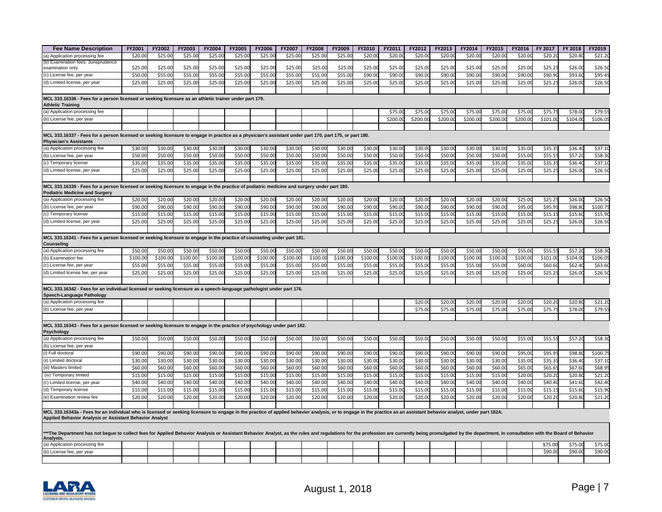| \$21.20<br>\$20.00<br>\$25.0<br>\$25.0<br>\$25.0<br>\$25.00<br>\$25.00<br>\$25.00<br>\$25.00<br>\$25.00<br>\$20.0<br>\$20.0<br>\$20.0<br>\$20.0<br>\$20.0<br>\$20.0<br>\$20.0<br>\$20.20<br>\$20.8<br>(a) Application processing fee<br>(b) Examination fees: Jurisprudence<br>\$25.00<br>\$26.50<br>\$25.00<br>\$25.00<br>\$25.00<br>\$25.00<br>\$25.00<br>\$25.00<br>\$25.00<br>\$25.00<br>\$25.00<br>\$25.00<br>\$25.0<br>\$25.00<br>\$25.00<br>\$25.00<br>\$25.00<br>\$25.25<br>\$26.00<br>examination only<br>\$50.00<br>\$55.0<br>\$55.0<br>\$55.00<br>\$55.00<br>\$55.00<br>\$55.00<br>\$55.00<br>\$90.0<br>\$90.0<br>\$90.0<br>\$90.00<br>\$90.0<br>\$90.00<br>\$90.0<br>\$90.90<br>\$93.6<br>\$95.49<br>\$55.0<br>(c) License fee, per year<br>\$25.00<br>\$25.00<br>\$25.00<br>\$25.00<br>\$25.00<br>\$25.00<br>\$25.00<br>\$25.00<br>\$25.0<br>\$25.00<br>\$25.0<br>\$25.00<br>\$25.00<br>\$25.00<br>\$25.0<br>\$26.0<br>\$26.50<br>\$25.00<br>\$25.25<br>MCL 333.16336 - Fees for a person licensed or seeking licensure as an athletic trainer under part 179.<br>\$79.55<br>\$75.0<br>\$75.0<br>\$75.00<br>\$75.0<br>\$75.00<br>\$75.0<br>\$75.75<br>\$78.0<br>\$200.00<br>\$200.00<br>\$200.00<br>\$200.00<br>\$200.00<br>\$200.00<br>\$101.00<br>\$104.00<br>\$106.05<br>(b) License fee, per year<br>MCL 333.16337 - Fees for a person licensed or seeking licensure to engage in practice as a physician's assistant under part 170, part 175, or part 180.<br><b>Physician's Assistants</b><br>\$30.0<br>\$30.0<br>\$30.00<br>\$30.0<br>\$30.00<br>\$35.0<br>\$35.3!<br>\$36.40<br>\$37.10<br>(a) Application processing fee<br>\$30.00<br>\$30.0<br>\$30.0<br>\$30.0<br>\$30.00<br>\$30.00<br>\$30.00<br>\$30.00<br>\$30.00<br>\$30.0<br>\$50.00<br>\$50.00<br>\$50.00<br>\$50.00<br>\$50.00<br>\$50.00<br>\$50.00<br>\$50.0<br>\$50.00<br>\$50.0<br>\$50.00<br>\$50.00<br>\$50.00<br>\$55.0<br>\$55.55<br>\$57.2<br>\$58.30<br>(b) License fee, per year<br>\$50.00<br>\$50.00<br>\$35.00<br>\$35.0<br>\$35.0<br>\$35.00<br>\$35.0<br>\$35.35<br>\$36.4<br>\$37.10<br>\$35.00<br>\$35.0<br>\$35.0<br>\$35.00<br>\$35.00<br>\$35.00<br>\$35.00<br>\$35.00<br>\$35.0<br>\$35.0<br>\$35.00<br>(c) Temporary license<br>\$25.00<br>\$25.00<br>\$26.0<br>\$26.50<br>\$25.00<br>\$25.00<br>\$25.00<br>\$25.00<br>\$25.00<br>\$25.00<br>\$25.00<br>\$25.00<br>\$25.00<br>\$25.00<br>\$25.0<br>\$25.00<br>\$25.00<br>\$25.0<br>\$25.25<br>(d) Limited license, per year<br>MCL 333.16339 - Fees for a person licensed or seeking licensure to engage in the practice of podiatric medicine and surgery under part 180.<br><b>Podiatric Medicine and Surgery</b><br>(a) Application processing fee<br>\$20.00<br>\$20.00<br>\$20.0<br>\$20.0<br>\$20.00<br>\$20.0<br>\$20.00<br>\$20.00<br>\$20.00<br>\$20.0<br>\$20.0<br>\$20.0<br>\$20.00<br>\$20.0<br>\$20.0<br>\$25.0<br>\$25.2!<br>\$26.0<br>\$26.50<br>\$90.00<br>\$90.0<br>\$90.0<br>\$90.0<br>\$90.00<br>\$90.00<br>\$90.00<br>\$90.00<br>\$90.00<br>\$90.0<br>\$90.0<br>\$90.0<br>\$90.00<br>\$90.0<br>\$90.00<br>\$95.0<br>\$95.95<br>\$98.8<br>\$100.75<br>(b) License fee, per year<br>\$15.00<br>\$15.00<br>\$15.00<br>\$15.00<br>\$15.00<br>\$15.00<br>\$15.00<br>\$15.00<br>\$15.00<br>\$15.00<br>\$15.00<br>\$15.0<br>\$15.00<br>\$15.00<br>\$15.00<br>\$15.0<br>\$15.15<br>\$15.60<br>\$15.90<br>(c) Temporary license<br>\$25.00<br>\$25.00<br>\$25.00<br>\$25.00<br>\$25.00<br>\$25.00<br>\$25.00<br>\$25.00<br>\$25.00<br>\$25.0<br>\$25.00<br>\$25.0<br>\$25.00<br>\$25.00<br>\$25.00<br>\$25.00<br>\$25.25<br>\$26.00<br>\$26.50<br>(d) Limited license, per year<br>MCL 333.16341 - Fees for a person licensed or seeking licensure to engage in the practice of counseling under part 181.<br>Counselina<br>\$50.0<br>\$50.0<br>\$50.00<br>\$50.0<br>\$50.00<br>\$50.0<br>\$50.0<br>\$50.0<br>\$50.0<br>\$50.0<br>\$50.0<br>\$55.0<br>\$55.5!<br>\$57.2<br>\$58.30<br>(a) Application processing fee<br>\$50.00<br>\$50.0<br>\$50.0<br>\$50.00<br>\$100.00<br>\$100.00<br>\$100.00<br>\$100.0<br>\$100.00<br>\$100.0<br>\$100.0<br>\$100.00<br>\$100.0<br>\$101.00<br>\$104.00<br>\$106.09<br>\$100.00<br>\$100.00<br>\$100.00<br>\$100.00<br>\$100.00<br>\$100.00<br>\$100.0<br>(b) Examination fee<br>\$55.00<br>\$55.00<br>\$60.0<br>\$63.60<br>\$55.00<br>\$55.00<br>\$55.00<br>\$55.00<br>\$55.00<br>\$55.00<br>\$55.00<br>\$55.0<br>\$55.0<br>\$55.0<br>\$55.00<br>\$55.0<br>\$55.0<br>\$60.60<br>\$62.4<br>(c) License fee, per year<br>\$25.00<br>\$25.00<br>\$25.00<br>\$25.00<br>\$25.00<br>\$25.00<br>\$25.0<br>\$25.0<br>\$25.0<br>\$25.00<br>\$25.0<br>\$25.0<br>\$25.0<br>\$26.0<br>\$26.50<br>(d) Limited license fee, per year<br>\$25.00<br>\$25.00<br>\$25.00<br>\$25.25<br>MCL 333.16342 - Fees for an individual licensed or seeking licensure as a speech-language pathologist under part 176.<br>Speech-Language Pathology<br>\$20.00<br>\$20.0<br>\$20.00<br>\$20.0<br>\$20.20<br>\$20.8<br>\$21.20<br>\$20.0<br>(a) Application processing fee<br>\$75.00<br>\$75.00<br>\$78.0<br>\$79.55<br>\$75.00<br>\$75.00<br>\$75.00<br>\$75.75<br>(b) License fee, per year<br>MCL 333.16343 - Fees for a person licensed or seeking licensure to engage in the practice of psychology under part 182.<br>Psychology<br>\$50.00<br>\$50.00<br>\$50.00<br>\$50.00<br>\$50.00<br>\$50.00<br>\$50.00<br>\$50.00<br>\$50.00<br>\$50.00<br>\$50.00<br>\$50.00<br>\$50.00<br>\$50.00<br>\$50.00<br>\$55.00<br>\$55.55<br>\$57.20<br>\$58.30<br>(a) Application processing fee<br>(b) License fee, per year<br>\$90.00<br>\$90.0<br>\$90.0<br>\$90.00<br>\$90.00<br>\$90.00<br>\$90.00<br>\$90.00<br>\$90.0<br>\$90.0<br>\$90.0<br>\$90.00<br>\$90.0<br>\$90.00<br>\$95.0<br>\$95.95<br>\$98.8<br>\$100.75<br>\$90.0<br>\$30.00<br>\$30.0<br>\$30.0<br>\$30.0<br>\$30.00<br>\$30.00<br>\$30.00<br>\$30.00<br>\$30.00<br>\$30.0<br>\$30.0<br>\$30.0<br>\$30.00<br>\$30.0<br>\$30.00<br>\$35.0<br>\$36.4<br>\$37.10<br>\$35.35<br>\$68.9<br>\$60.00<br>\$60.00<br>\$60.0<br>\$60.0<br>\$60.00<br>\$60.00<br>\$60.00<br>\$60.00<br>\$60.00<br>\$60.0<br>\$60.00<br>\$60.0<br>\$60.00<br>\$60.0<br>\$60.00<br>\$65.0<br>\$65.65<br>\$67.60<br>(iii) Masters limited<br>\$15.0<br>\$15.0<br>\$20.0<br>\$21.20<br>\$15.00<br>\$15.0<br>\$15.0<br>\$15.00<br>\$15.00<br>\$15.00<br>\$15.00<br>\$15.00<br>\$15.0<br>\$15.0<br>\$15.0<br>\$15.00<br>\$15.00<br>\$20.20<br>\$20.8<br>(iv) Temporary limited<br>\$42.40<br>\$40.00<br>\$40.0<br>\$40.00<br>\$40.00<br>\$40.00<br>\$40.00<br>\$40.00<br>\$40.00<br>\$40.00<br>\$40.0<br>\$40.0<br>\$40.0<br>\$40.00<br>\$40.00<br>\$40.00<br>\$40.0<br>\$40.40<br>\$41.6<br>(c) Limited license, per year<br>\$15.90<br>\$15.00<br>\$15.00<br>\$15.00<br>\$15.00<br>\$15.00<br>\$15.00<br>\$15.00<br>\$15.0<br>\$15.15<br>\$15.60<br>\$15.00<br>\$15.00<br>\$15.0<br>\$15.00<br>\$15.00<br>\$15.00<br>\$15.0<br>\$15.00<br>(d) Temporary license<br>\$20.00<br>\$20.0<br>\$20.00<br>\$20.0<br>\$20.00<br>\$20.00<br>\$20.00<br>\$20.00<br>\$20.00<br>\$20.0<br>\$20.00<br>\$20.0<br>\$20.00<br>\$20.0<br>\$20.00<br>\$20.0<br>\$20.20<br>\$20.8<br>\$21.20<br>(e) Examination review fee<br>MCL 333.16343a - Fees for an individual who is licensed or seeking licensure to engage in the practice of applied behavior analysis, or to engage in the practice as an assistant behavior analyst, under part 182A.<br>Applied Behavior Analysis or Assistant Behavior Analyst<br>**The Department has not begun to collect fees for Applied Behavior Analysis or Assistant Behavior Analyst, as the rules and regulations for the profession are currently being promulgated by the department, in consultation<br>Analysts.<br>\$75.00<br>(a) Application processing fee<br>\$75.00<br>\$75.00 | <b>Fee Name Description</b>    | FY2001 | FY2002 | FY2003 | FY2004 | <b>FY2005</b> | FY2006 | FY2007 | FY2008 | FY2009 | FY2010 | FY2011 | FY2012 | FY2013 | FY2014 | FY2015 | FY2016 | FY 2017 | FY 2018 | FY2019  |
|-------------------------------------------------------------------------------------------------------------------------------------------------------------------------------------------------------------------------------------------------------------------------------------------------------------------------------------------------------------------------------------------------------------------------------------------------------------------------------------------------------------------------------------------------------------------------------------------------------------------------------------------------------------------------------------------------------------------------------------------------------------------------------------------------------------------------------------------------------------------------------------------------------------------------------------------------------------------------------------------------------------------------------------------------------------------------------------------------------------------------------------------------------------------------------------------------------------------------------------------------------------------------------------------------------------------------------------------------------------------------------------------------------------------------------------------------------------------------------------------------------------------------------------------------------------------------------------------------------------------------------------------------------------------------------------------------------------------------------------------------------------------------------------------------------------------------------------------------------------------------------------------------------------------------------------------------------------------------------------------------------------------------------------------------------------------------------------------------------------------------------------------------------------------------------------------------------------------------------------------------------------------------------------------------------------------------------------------------------------------------------------------------------------------------------------------------------------------------------------------------------------------------------------------------------------------------------------------------------------------------------------------------------------------------------------------------------------------------------------------------------------------------------------------------------------------------------------------------------------------------------------------------------------------------------------------------------------------------------------------------------------------------------------------------------------------------------------------------------------------------------------------------------------------------------------------------------------------------------------------------------------------------------------------------------------------------------------------------------------------------------------------------------------------------------------------------------------------------------------------------------------------------------------------------------------------------------------------------------------------------------------------------------------------------------------------------------------------------------------------------------------------------------------------------------------------------------------------------------------------------------------------------------------------------------------------------------------------------------------------------------------------------------------------------------------------------------------------------------------------------------------------------------------------------------------------------------------------------------------------------------------------------------------------------------------------------------------------------------------------------------------------------------------------------------------------------------------------------------------------------------------------------------------------------------------------------------------------------------------------------------------------------------------------------------------------------------------------------------------------------------------------------------------------------------------------------------------------------------------------------------------------------------------------------------------------------------------------------------------------------------------------------------------------------------------------------------------------------------------------------------------------------------------------------------------------------------------------------------------------------------------------------------------------------------------------------------------------------------------------------------------------------------------------------------------------------------------------------------------------------------------------------------------------------------------------------------------------------------------------------------------------------------------------------------------------------------------------------------------------------------------------------------------------------------------------------------------------------------------------------------------------------------------------------------------------------------------------------------------------------------------------------------------------------------------------------------------------------------------------------------------------------------------------------------------------------------------------------------------------------------------------------------------------------------------------------------------------------------------------------------------------------------------------------------------------------------------------------------------------------------------------------------------------------------------------------------------------------------------------------------------------------------------------------------------------------------------------------------------------------------------------------------------------------------------------------------------------------------------------------------------------------------------------------------------------------------------------------------------------------------------------------------------------------------------------------------------------------------------------------------------------------------------------------------------------------------------------------------------------------------------------------------------------------------------------------------------------------------------------------------------------------------------------------------------------------------------------------------------------------------------------------------------------------------------------------------------------------------------------------------------------------------------------------------------------------------------------------------------------------------------------------------------------------------------------------------|--------------------------------|--------|--------|--------|--------|---------------|--------|--------|--------|--------|--------|--------|--------|--------|--------|--------|--------|---------|---------|---------|
|                                                                                                                                                                                                                                                                                                                                                                                                                                                                                                                                                                                                                                                                                                                                                                                                                                                                                                                                                                                                                                                                                                                                                                                                                                                                                                                                                                                                                                                                                                                                                                                                                                                                                                                                                                                                                                                                                                                                                                                                                                                                                                                                                                                                                                                                                                                                                                                                                                                                                                                                                                                                                                                                                                                                                                                                                                                                                                                                                                                                                                                                                                                                                                                                                                                                                                                                                                                                                                                                                                                                                                                                                                                                                                                                                                                                                                                                                                                                                                                                                                                                                                                                                                                                                                                                                                                                                                                                                                                                                                                                                                                                                                                                                                                                                                                                                                                                                                                                                                                                                                                                                                                                                                                                                                                                                                                                                                                                                                                                                                                                                                                                                                                                                                                                                                                                                                                                                                                                                                                                                                                                                                                                                                                                                                                                                                                                                                                                                                                                                                                                                                                                                                                                                                                                                                                                                                                                                                                                                                                                                                                                                                                                                                                                                                                                                                                                                                                                                                                                                                                                                                                                                                                                                                                                                                                                                               |                                |        |        |        |        |               |        |        |        |        |        |        |        |        |        |        |        |         |         |         |
|                                                                                                                                                                                                                                                                                                                                                                                                                                                                                                                                                                                                                                                                                                                                                                                                                                                                                                                                                                                                                                                                                                                                                                                                                                                                                                                                                                                                                                                                                                                                                                                                                                                                                                                                                                                                                                                                                                                                                                                                                                                                                                                                                                                                                                                                                                                                                                                                                                                                                                                                                                                                                                                                                                                                                                                                                                                                                                                                                                                                                                                                                                                                                                                                                                                                                                                                                                                                                                                                                                                                                                                                                                                                                                                                                                                                                                                                                                                                                                                                                                                                                                                                                                                                                                                                                                                                                                                                                                                                                                                                                                                                                                                                                                                                                                                                                                                                                                                                                                                                                                                                                                                                                                                                                                                                                                                                                                                                                                                                                                                                                                                                                                                                                                                                                                                                                                                                                                                                                                                                                                                                                                                                                                                                                                                                                                                                                                                                                                                                                                                                                                                                                                                                                                                                                                                                                                                                                                                                                                                                                                                                                                                                                                                                                                                                                                                                                                                                                                                                                                                                                                                                                                                                                                                                                                                                                               |                                |        |        |        |        |               |        |        |        |        |        |        |        |        |        |        |        |         |         |         |
|                                                                                                                                                                                                                                                                                                                                                                                                                                                                                                                                                                                                                                                                                                                                                                                                                                                                                                                                                                                                                                                                                                                                                                                                                                                                                                                                                                                                                                                                                                                                                                                                                                                                                                                                                                                                                                                                                                                                                                                                                                                                                                                                                                                                                                                                                                                                                                                                                                                                                                                                                                                                                                                                                                                                                                                                                                                                                                                                                                                                                                                                                                                                                                                                                                                                                                                                                                                                                                                                                                                                                                                                                                                                                                                                                                                                                                                                                                                                                                                                                                                                                                                                                                                                                                                                                                                                                                                                                                                                                                                                                                                                                                                                                                                                                                                                                                                                                                                                                                                                                                                                                                                                                                                                                                                                                                                                                                                                                                                                                                                                                                                                                                                                                                                                                                                                                                                                                                                                                                                                                                                                                                                                                                                                                                                                                                                                                                                                                                                                                                                                                                                                                                                                                                                                                                                                                                                                                                                                                                                                                                                                                                                                                                                                                                                                                                                                                                                                                                                                                                                                                                                                                                                                                                                                                                                                                               |                                |        |        |        |        |               |        |        |        |        |        |        |        |        |        |        |        |         |         |         |
|                                                                                                                                                                                                                                                                                                                                                                                                                                                                                                                                                                                                                                                                                                                                                                                                                                                                                                                                                                                                                                                                                                                                                                                                                                                                                                                                                                                                                                                                                                                                                                                                                                                                                                                                                                                                                                                                                                                                                                                                                                                                                                                                                                                                                                                                                                                                                                                                                                                                                                                                                                                                                                                                                                                                                                                                                                                                                                                                                                                                                                                                                                                                                                                                                                                                                                                                                                                                                                                                                                                                                                                                                                                                                                                                                                                                                                                                                                                                                                                                                                                                                                                                                                                                                                                                                                                                                                                                                                                                                                                                                                                                                                                                                                                                                                                                                                                                                                                                                                                                                                                                                                                                                                                                                                                                                                                                                                                                                                                                                                                                                                                                                                                                                                                                                                                                                                                                                                                                                                                                                                                                                                                                                                                                                                                                                                                                                                                                                                                                                                                                                                                                                                                                                                                                                                                                                                                                                                                                                                                                                                                                                                                                                                                                                                                                                                                                                                                                                                                                                                                                                                                                                                                                                                                                                                                                                               |                                |        |        |        |        |               |        |        |        |        |        |        |        |        |        |        |        |         |         |         |
|                                                                                                                                                                                                                                                                                                                                                                                                                                                                                                                                                                                                                                                                                                                                                                                                                                                                                                                                                                                                                                                                                                                                                                                                                                                                                                                                                                                                                                                                                                                                                                                                                                                                                                                                                                                                                                                                                                                                                                                                                                                                                                                                                                                                                                                                                                                                                                                                                                                                                                                                                                                                                                                                                                                                                                                                                                                                                                                                                                                                                                                                                                                                                                                                                                                                                                                                                                                                                                                                                                                                                                                                                                                                                                                                                                                                                                                                                                                                                                                                                                                                                                                                                                                                                                                                                                                                                                                                                                                                                                                                                                                                                                                                                                                                                                                                                                                                                                                                                                                                                                                                                                                                                                                                                                                                                                                                                                                                                                                                                                                                                                                                                                                                                                                                                                                                                                                                                                                                                                                                                                                                                                                                                                                                                                                                                                                                                                                                                                                                                                                                                                                                                                                                                                                                                                                                                                                                                                                                                                                                                                                                                                                                                                                                                                                                                                                                                                                                                                                                                                                                                                                                                                                                                                                                                                                                                               | (d) Limited license, per year  |        |        |        |        |               |        |        |        |        |        |        |        |        |        |        |        |         |         |         |
|                                                                                                                                                                                                                                                                                                                                                                                                                                                                                                                                                                                                                                                                                                                                                                                                                                                                                                                                                                                                                                                                                                                                                                                                                                                                                                                                                                                                                                                                                                                                                                                                                                                                                                                                                                                                                                                                                                                                                                                                                                                                                                                                                                                                                                                                                                                                                                                                                                                                                                                                                                                                                                                                                                                                                                                                                                                                                                                                                                                                                                                                                                                                                                                                                                                                                                                                                                                                                                                                                                                                                                                                                                                                                                                                                                                                                                                                                                                                                                                                                                                                                                                                                                                                                                                                                                                                                                                                                                                                                                                                                                                                                                                                                                                                                                                                                                                                                                                                                                                                                                                                                                                                                                                                                                                                                                                                                                                                                                                                                                                                                                                                                                                                                                                                                                                                                                                                                                                                                                                                                                                                                                                                                                                                                                                                                                                                                                                                                                                                                                                                                                                                                                                                                                                                                                                                                                                                                                                                                                                                                                                                                                                                                                                                                                                                                                                                                                                                                                                                                                                                                                                                                                                                                                                                                                                                                               |                                |        |        |        |        |               |        |        |        |        |        |        |        |        |        |        |        |         |         |         |
|                                                                                                                                                                                                                                                                                                                                                                                                                                                                                                                                                                                                                                                                                                                                                                                                                                                                                                                                                                                                                                                                                                                                                                                                                                                                                                                                                                                                                                                                                                                                                                                                                                                                                                                                                                                                                                                                                                                                                                                                                                                                                                                                                                                                                                                                                                                                                                                                                                                                                                                                                                                                                                                                                                                                                                                                                                                                                                                                                                                                                                                                                                                                                                                                                                                                                                                                                                                                                                                                                                                                                                                                                                                                                                                                                                                                                                                                                                                                                                                                                                                                                                                                                                                                                                                                                                                                                                                                                                                                                                                                                                                                                                                                                                                                                                                                                                                                                                                                                                                                                                                                                                                                                                                                                                                                                                                                                                                                                                                                                                                                                                                                                                                                                                                                                                                                                                                                                                                                                                                                                                                                                                                                                                                                                                                                                                                                                                                                                                                                                                                                                                                                                                                                                                                                                                                                                                                                                                                                                                                                                                                                                                                                                                                                                                                                                                                                                                                                                                                                                                                                                                                                                                                                                                                                                                                                                               |                                |        |        |        |        |               |        |        |        |        |        |        |        |        |        |        |        |         |         |         |
|                                                                                                                                                                                                                                                                                                                                                                                                                                                                                                                                                                                                                                                                                                                                                                                                                                                                                                                                                                                                                                                                                                                                                                                                                                                                                                                                                                                                                                                                                                                                                                                                                                                                                                                                                                                                                                                                                                                                                                                                                                                                                                                                                                                                                                                                                                                                                                                                                                                                                                                                                                                                                                                                                                                                                                                                                                                                                                                                                                                                                                                                                                                                                                                                                                                                                                                                                                                                                                                                                                                                                                                                                                                                                                                                                                                                                                                                                                                                                                                                                                                                                                                                                                                                                                                                                                                                                                                                                                                                                                                                                                                                                                                                                                                                                                                                                                                                                                                                                                                                                                                                                                                                                                                                                                                                                                                                                                                                                                                                                                                                                                                                                                                                                                                                                                                                                                                                                                                                                                                                                                                                                                                                                                                                                                                                                                                                                                                                                                                                                                                                                                                                                                                                                                                                                                                                                                                                                                                                                                                                                                                                                                                                                                                                                                                                                                                                                                                                                                                                                                                                                                                                                                                                                                                                                                                                                               | <b>Athletic Training</b>       |        |        |        |        |               |        |        |        |        |        |        |        |        |        |        |        |         |         |         |
|                                                                                                                                                                                                                                                                                                                                                                                                                                                                                                                                                                                                                                                                                                                                                                                                                                                                                                                                                                                                                                                                                                                                                                                                                                                                                                                                                                                                                                                                                                                                                                                                                                                                                                                                                                                                                                                                                                                                                                                                                                                                                                                                                                                                                                                                                                                                                                                                                                                                                                                                                                                                                                                                                                                                                                                                                                                                                                                                                                                                                                                                                                                                                                                                                                                                                                                                                                                                                                                                                                                                                                                                                                                                                                                                                                                                                                                                                                                                                                                                                                                                                                                                                                                                                                                                                                                                                                                                                                                                                                                                                                                                                                                                                                                                                                                                                                                                                                                                                                                                                                                                                                                                                                                                                                                                                                                                                                                                                                                                                                                                                                                                                                                                                                                                                                                                                                                                                                                                                                                                                                                                                                                                                                                                                                                                                                                                                                                                                                                                                                                                                                                                                                                                                                                                                                                                                                                                                                                                                                                                                                                                                                                                                                                                                                                                                                                                                                                                                                                                                                                                                                                                                                                                                                                                                                                                                               | (a) Application processing fee |        |        |        |        |               |        |        |        |        |        |        |        |        |        |        |        |         |         |         |
|                                                                                                                                                                                                                                                                                                                                                                                                                                                                                                                                                                                                                                                                                                                                                                                                                                                                                                                                                                                                                                                                                                                                                                                                                                                                                                                                                                                                                                                                                                                                                                                                                                                                                                                                                                                                                                                                                                                                                                                                                                                                                                                                                                                                                                                                                                                                                                                                                                                                                                                                                                                                                                                                                                                                                                                                                                                                                                                                                                                                                                                                                                                                                                                                                                                                                                                                                                                                                                                                                                                                                                                                                                                                                                                                                                                                                                                                                                                                                                                                                                                                                                                                                                                                                                                                                                                                                                                                                                                                                                                                                                                                                                                                                                                                                                                                                                                                                                                                                                                                                                                                                                                                                                                                                                                                                                                                                                                                                                                                                                                                                                                                                                                                                                                                                                                                                                                                                                                                                                                                                                                                                                                                                                                                                                                                                                                                                                                                                                                                                                                                                                                                                                                                                                                                                                                                                                                                                                                                                                                                                                                                                                                                                                                                                                                                                                                                                                                                                                                                                                                                                                                                                                                                                                                                                                                                                               |                                |        |        |        |        |               |        |        |        |        |        |        |        |        |        |        |        |         |         |         |
|                                                                                                                                                                                                                                                                                                                                                                                                                                                                                                                                                                                                                                                                                                                                                                                                                                                                                                                                                                                                                                                                                                                                                                                                                                                                                                                                                                                                                                                                                                                                                                                                                                                                                                                                                                                                                                                                                                                                                                                                                                                                                                                                                                                                                                                                                                                                                                                                                                                                                                                                                                                                                                                                                                                                                                                                                                                                                                                                                                                                                                                                                                                                                                                                                                                                                                                                                                                                                                                                                                                                                                                                                                                                                                                                                                                                                                                                                                                                                                                                                                                                                                                                                                                                                                                                                                                                                                                                                                                                                                                                                                                                                                                                                                                                                                                                                                                                                                                                                                                                                                                                                                                                                                                                                                                                                                                                                                                                                                                                                                                                                                                                                                                                                                                                                                                                                                                                                                                                                                                                                                                                                                                                                                                                                                                                                                                                                                                                                                                                                                                                                                                                                                                                                                                                                                                                                                                                                                                                                                                                                                                                                                                                                                                                                                                                                                                                                                                                                                                                                                                                                                                                                                                                                                                                                                                                                               |                                |        |        |        |        |               |        |        |        |        |        |        |        |        |        |        |        |         |         |         |
|                                                                                                                                                                                                                                                                                                                                                                                                                                                                                                                                                                                                                                                                                                                                                                                                                                                                                                                                                                                                                                                                                                                                                                                                                                                                                                                                                                                                                                                                                                                                                                                                                                                                                                                                                                                                                                                                                                                                                                                                                                                                                                                                                                                                                                                                                                                                                                                                                                                                                                                                                                                                                                                                                                                                                                                                                                                                                                                                                                                                                                                                                                                                                                                                                                                                                                                                                                                                                                                                                                                                                                                                                                                                                                                                                                                                                                                                                                                                                                                                                                                                                                                                                                                                                                                                                                                                                                                                                                                                                                                                                                                                                                                                                                                                                                                                                                                                                                                                                                                                                                                                                                                                                                                                                                                                                                                                                                                                                                                                                                                                                                                                                                                                                                                                                                                                                                                                                                                                                                                                                                                                                                                                                                                                                                                                                                                                                                                                                                                                                                                                                                                                                                                                                                                                                                                                                                                                                                                                                                                                                                                                                                                                                                                                                                                                                                                                                                                                                                                                                                                                                                                                                                                                                                                                                                                                                               |                                |        |        |        |        |               |        |        |        |        |        |        |        |        |        |        |        |         |         |         |
|                                                                                                                                                                                                                                                                                                                                                                                                                                                                                                                                                                                                                                                                                                                                                                                                                                                                                                                                                                                                                                                                                                                                                                                                                                                                                                                                                                                                                                                                                                                                                                                                                                                                                                                                                                                                                                                                                                                                                                                                                                                                                                                                                                                                                                                                                                                                                                                                                                                                                                                                                                                                                                                                                                                                                                                                                                                                                                                                                                                                                                                                                                                                                                                                                                                                                                                                                                                                                                                                                                                                                                                                                                                                                                                                                                                                                                                                                                                                                                                                                                                                                                                                                                                                                                                                                                                                                                                                                                                                                                                                                                                                                                                                                                                                                                                                                                                                                                                                                                                                                                                                                                                                                                                                                                                                                                                                                                                                                                                                                                                                                                                                                                                                                                                                                                                                                                                                                                                                                                                                                                                                                                                                                                                                                                                                                                                                                                                                                                                                                                                                                                                                                                                                                                                                                                                                                                                                                                                                                                                                                                                                                                                                                                                                                                                                                                                                                                                                                                                                                                                                                                                                                                                                                                                                                                                                                               |                                |        |        |        |        |               |        |        |        |        |        |        |        |        |        |        |        |         |         |         |
|                                                                                                                                                                                                                                                                                                                                                                                                                                                                                                                                                                                                                                                                                                                                                                                                                                                                                                                                                                                                                                                                                                                                                                                                                                                                                                                                                                                                                                                                                                                                                                                                                                                                                                                                                                                                                                                                                                                                                                                                                                                                                                                                                                                                                                                                                                                                                                                                                                                                                                                                                                                                                                                                                                                                                                                                                                                                                                                                                                                                                                                                                                                                                                                                                                                                                                                                                                                                                                                                                                                                                                                                                                                                                                                                                                                                                                                                                                                                                                                                                                                                                                                                                                                                                                                                                                                                                                                                                                                                                                                                                                                                                                                                                                                                                                                                                                                                                                                                                                                                                                                                                                                                                                                                                                                                                                                                                                                                                                                                                                                                                                                                                                                                                                                                                                                                                                                                                                                                                                                                                                                                                                                                                                                                                                                                                                                                                                                                                                                                                                                                                                                                                                                                                                                                                                                                                                                                                                                                                                                                                                                                                                                                                                                                                                                                                                                                                                                                                                                                                                                                                                                                                                                                                                                                                                                                                               |                                |        |        |        |        |               |        |        |        |        |        |        |        |        |        |        |        |         |         |         |
|                                                                                                                                                                                                                                                                                                                                                                                                                                                                                                                                                                                                                                                                                                                                                                                                                                                                                                                                                                                                                                                                                                                                                                                                                                                                                                                                                                                                                                                                                                                                                                                                                                                                                                                                                                                                                                                                                                                                                                                                                                                                                                                                                                                                                                                                                                                                                                                                                                                                                                                                                                                                                                                                                                                                                                                                                                                                                                                                                                                                                                                                                                                                                                                                                                                                                                                                                                                                                                                                                                                                                                                                                                                                                                                                                                                                                                                                                                                                                                                                                                                                                                                                                                                                                                                                                                                                                                                                                                                                                                                                                                                                                                                                                                                                                                                                                                                                                                                                                                                                                                                                                                                                                                                                                                                                                                                                                                                                                                                                                                                                                                                                                                                                                                                                                                                                                                                                                                                                                                                                                                                                                                                                                                                                                                                                                                                                                                                                                                                                                                                                                                                                                                                                                                                                                                                                                                                                                                                                                                                                                                                                                                                                                                                                                                                                                                                                                                                                                                                                                                                                                                                                                                                                                                                                                                                                                               |                                |        |        |        |        |               |        |        |        |        |        |        |        |        |        |        |        |         |         |         |
|                                                                                                                                                                                                                                                                                                                                                                                                                                                                                                                                                                                                                                                                                                                                                                                                                                                                                                                                                                                                                                                                                                                                                                                                                                                                                                                                                                                                                                                                                                                                                                                                                                                                                                                                                                                                                                                                                                                                                                                                                                                                                                                                                                                                                                                                                                                                                                                                                                                                                                                                                                                                                                                                                                                                                                                                                                                                                                                                                                                                                                                                                                                                                                                                                                                                                                                                                                                                                                                                                                                                                                                                                                                                                                                                                                                                                                                                                                                                                                                                                                                                                                                                                                                                                                                                                                                                                                                                                                                                                                                                                                                                                                                                                                                                                                                                                                                                                                                                                                                                                                                                                                                                                                                                                                                                                                                                                                                                                                                                                                                                                                                                                                                                                                                                                                                                                                                                                                                                                                                                                                                                                                                                                                                                                                                                                                                                                                                                                                                                                                                                                                                                                                                                                                                                                                                                                                                                                                                                                                                                                                                                                                                                                                                                                                                                                                                                                                                                                                                                                                                                                                                                                                                                                                                                                                                                                               |                                |        |        |        |        |               |        |        |        |        |        |        |        |        |        |        |        |         |         |         |
|                                                                                                                                                                                                                                                                                                                                                                                                                                                                                                                                                                                                                                                                                                                                                                                                                                                                                                                                                                                                                                                                                                                                                                                                                                                                                                                                                                                                                                                                                                                                                                                                                                                                                                                                                                                                                                                                                                                                                                                                                                                                                                                                                                                                                                                                                                                                                                                                                                                                                                                                                                                                                                                                                                                                                                                                                                                                                                                                                                                                                                                                                                                                                                                                                                                                                                                                                                                                                                                                                                                                                                                                                                                                                                                                                                                                                                                                                                                                                                                                                                                                                                                                                                                                                                                                                                                                                                                                                                                                                                                                                                                                                                                                                                                                                                                                                                                                                                                                                                                                                                                                                                                                                                                                                                                                                                                                                                                                                                                                                                                                                                                                                                                                                                                                                                                                                                                                                                                                                                                                                                                                                                                                                                                                                                                                                                                                                                                                                                                                                                                                                                                                                                                                                                                                                                                                                                                                                                                                                                                                                                                                                                                                                                                                                                                                                                                                                                                                                                                                                                                                                                                                                                                                                                                                                                                                                               |                                |        |        |        |        |               |        |        |        |        |        |        |        |        |        |        |        |         |         |         |
|                                                                                                                                                                                                                                                                                                                                                                                                                                                                                                                                                                                                                                                                                                                                                                                                                                                                                                                                                                                                                                                                                                                                                                                                                                                                                                                                                                                                                                                                                                                                                                                                                                                                                                                                                                                                                                                                                                                                                                                                                                                                                                                                                                                                                                                                                                                                                                                                                                                                                                                                                                                                                                                                                                                                                                                                                                                                                                                                                                                                                                                                                                                                                                                                                                                                                                                                                                                                                                                                                                                                                                                                                                                                                                                                                                                                                                                                                                                                                                                                                                                                                                                                                                                                                                                                                                                                                                                                                                                                                                                                                                                                                                                                                                                                                                                                                                                                                                                                                                                                                                                                                                                                                                                                                                                                                                                                                                                                                                                                                                                                                                                                                                                                                                                                                                                                                                                                                                                                                                                                                                                                                                                                                                                                                                                                                                                                                                                                                                                                                                                                                                                                                                                                                                                                                                                                                                                                                                                                                                                                                                                                                                                                                                                                                                                                                                                                                                                                                                                                                                                                                                                                                                                                                                                                                                                                                               |                                |        |        |        |        |               |        |        |        |        |        |        |        |        |        |        |        |         |         |         |
|                                                                                                                                                                                                                                                                                                                                                                                                                                                                                                                                                                                                                                                                                                                                                                                                                                                                                                                                                                                                                                                                                                                                                                                                                                                                                                                                                                                                                                                                                                                                                                                                                                                                                                                                                                                                                                                                                                                                                                                                                                                                                                                                                                                                                                                                                                                                                                                                                                                                                                                                                                                                                                                                                                                                                                                                                                                                                                                                                                                                                                                                                                                                                                                                                                                                                                                                                                                                                                                                                                                                                                                                                                                                                                                                                                                                                                                                                                                                                                                                                                                                                                                                                                                                                                                                                                                                                                                                                                                                                                                                                                                                                                                                                                                                                                                                                                                                                                                                                                                                                                                                                                                                                                                                                                                                                                                                                                                                                                                                                                                                                                                                                                                                                                                                                                                                                                                                                                                                                                                                                                                                                                                                                                                                                                                                                                                                                                                                                                                                                                                                                                                                                                                                                                                                                                                                                                                                                                                                                                                                                                                                                                                                                                                                                                                                                                                                                                                                                                                                                                                                                                                                                                                                                                                                                                                                                               |                                |        |        |        |        |               |        |        |        |        |        |        |        |        |        |        |        |         |         |         |
|                                                                                                                                                                                                                                                                                                                                                                                                                                                                                                                                                                                                                                                                                                                                                                                                                                                                                                                                                                                                                                                                                                                                                                                                                                                                                                                                                                                                                                                                                                                                                                                                                                                                                                                                                                                                                                                                                                                                                                                                                                                                                                                                                                                                                                                                                                                                                                                                                                                                                                                                                                                                                                                                                                                                                                                                                                                                                                                                                                                                                                                                                                                                                                                                                                                                                                                                                                                                                                                                                                                                                                                                                                                                                                                                                                                                                                                                                                                                                                                                                                                                                                                                                                                                                                                                                                                                                                                                                                                                                                                                                                                                                                                                                                                                                                                                                                                                                                                                                                                                                                                                                                                                                                                                                                                                                                                                                                                                                                                                                                                                                                                                                                                                                                                                                                                                                                                                                                                                                                                                                                                                                                                                                                                                                                                                                                                                                                                                                                                                                                                                                                                                                                                                                                                                                                                                                                                                                                                                                                                                                                                                                                                                                                                                                                                                                                                                                                                                                                                                                                                                                                                                                                                                                                                                                                                                                               |                                |        |        |        |        |               |        |        |        |        |        |        |        |        |        |        |        |         |         |         |
|                                                                                                                                                                                                                                                                                                                                                                                                                                                                                                                                                                                                                                                                                                                                                                                                                                                                                                                                                                                                                                                                                                                                                                                                                                                                                                                                                                                                                                                                                                                                                                                                                                                                                                                                                                                                                                                                                                                                                                                                                                                                                                                                                                                                                                                                                                                                                                                                                                                                                                                                                                                                                                                                                                                                                                                                                                                                                                                                                                                                                                                                                                                                                                                                                                                                                                                                                                                                                                                                                                                                                                                                                                                                                                                                                                                                                                                                                                                                                                                                                                                                                                                                                                                                                                                                                                                                                                                                                                                                                                                                                                                                                                                                                                                                                                                                                                                                                                                                                                                                                                                                                                                                                                                                                                                                                                                                                                                                                                                                                                                                                                                                                                                                                                                                                                                                                                                                                                                                                                                                                                                                                                                                                                                                                                                                                                                                                                                                                                                                                                                                                                                                                                                                                                                                                                                                                                                                                                                                                                                                                                                                                                                                                                                                                                                                                                                                                                                                                                                                                                                                                                                                                                                                                                                                                                                                                               |                                |        |        |        |        |               |        |        |        |        |        |        |        |        |        |        |        |         |         |         |
|                                                                                                                                                                                                                                                                                                                                                                                                                                                                                                                                                                                                                                                                                                                                                                                                                                                                                                                                                                                                                                                                                                                                                                                                                                                                                                                                                                                                                                                                                                                                                                                                                                                                                                                                                                                                                                                                                                                                                                                                                                                                                                                                                                                                                                                                                                                                                                                                                                                                                                                                                                                                                                                                                                                                                                                                                                                                                                                                                                                                                                                                                                                                                                                                                                                                                                                                                                                                                                                                                                                                                                                                                                                                                                                                                                                                                                                                                                                                                                                                                                                                                                                                                                                                                                                                                                                                                                                                                                                                                                                                                                                                                                                                                                                                                                                                                                                                                                                                                                                                                                                                                                                                                                                                                                                                                                                                                                                                                                                                                                                                                                                                                                                                                                                                                                                                                                                                                                                                                                                                                                                                                                                                                                                                                                                                                                                                                                                                                                                                                                                                                                                                                                                                                                                                                                                                                                                                                                                                                                                                                                                                                                                                                                                                                                                                                                                                                                                                                                                                                                                                                                                                                                                                                                                                                                                                                               |                                |        |        |        |        |               |        |        |        |        |        |        |        |        |        |        |        |         |         |         |
|                                                                                                                                                                                                                                                                                                                                                                                                                                                                                                                                                                                                                                                                                                                                                                                                                                                                                                                                                                                                                                                                                                                                                                                                                                                                                                                                                                                                                                                                                                                                                                                                                                                                                                                                                                                                                                                                                                                                                                                                                                                                                                                                                                                                                                                                                                                                                                                                                                                                                                                                                                                                                                                                                                                                                                                                                                                                                                                                                                                                                                                                                                                                                                                                                                                                                                                                                                                                                                                                                                                                                                                                                                                                                                                                                                                                                                                                                                                                                                                                                                                                                                                                                                                                                                                                                                                                                                                                                                                                                                                                                                                                                                                                                                                                                                                                                                                                                                                                                                                                                                                                                                                                                                                                                                                                                                                                                                                                                                                                                                                                                                                                                                                                                                                                                                                                                                                                                                                                                                                                                                                                                                                                                                                                                                                                                                                                                                                                                                                                                                                                                                                                                                                                                                                                                                                                                                                                                                                                                                                                                                                                                                                                                                                                                                                                                                                                                                                                                                                                                                                                                                                                                                                                                                                                                                                                                               |                                |        |        |        |        |               |        |        |        |        |        |        |        |        |        |        |        |         |         |         |
|                                                                                                                                                                                                                                                                                                                                                                                                                                                                                                                                                                                                                                                                                                                                                                                                                                                                                                                                                                                                                                                                                                                                                                                                                                                                                                                                                                                                                                                                                                                                                                                                                                                                                                                                                                                                                                                                                                                                                                                                                                                                                                                                                                                                                                                                                                                                                                                                                                                                                                                                                                                                                                                                                                                                                                                                                                                                                                                                                                                                                                                                                                                                                                                                                                                                                                                                                                                                                                                                                                                                                                                                                                                                                                                                                                                                                                                                                                                                                                                                                                                                                                                                                                                                                                                                                                                                                                                                                                                                                                                                                                                                                                                                                                                                                                                                                                                                                                                                                                                                                                                                                                                                                                                                                                                                                                                                                                                                                                                                                                                                                                                                                                                                                                                                                                                                                                                                                                                                                                                                                                                                                                                                                                                                                                                                                                                                                                                                                                                                                                                                                                                                                                                                                                                                                                                                                                                                                                                                                                                                                                                                                                                                                                                                                                                                                                                                                                                                                                                                                                                                                                                                                                                                                                                                                                                                                               |                                |        |        |        |        |               |        |        |        |        |        |        |        |        |        |        |        |         |         |         |
|                                                                                                                                                                                                                                                                                                                                                                                                                                                                                                                                                                                                                                                                                                                                                                                                                                                                                                                                                                                                                                                                                                                                                                                                                                                                                                                                                                                                                                                                                                                                                                                                                                                                                                                                                                                                                                                                                                                                                                                                                                                                                                                                                                                                                                                                                                                                                                                                                                                                                                                                                                                                                                                                                                                                                                                                                                                                                                                                                                                                                                                                                                                                                                                                                                                                                                                                                                                                                                                                                                                                                                                                                                                                                                                                                                                                                                                                                                                                                                                                                                                                                                                                                                                                                                                                                                                                                                                                                                                                                                                                                                                                                                                                                                                                                                                                                                                                                                                                                                                                                                                                                                                                                                                                                                                                                                                                                                                                                                                                                                                                                                                                                                                                                                                                                                                                                                                                                                                                                                                                                                                                                                                                                                                                                                                                                                                                                                                                                                                                                                                                                                                                                                                                                                                                                                                                                                                                                                                                                                                                                                                                                                                                                                                                                                                                                                                                                                                                                                                                                                                                                                                                                                                                                                                                                                                                                               |                                |        |        |        |        |               |        |        |        |        |        |        |        |        |        |        |        |         |         |         |
|                                                                                                                                                                                                                                                                                                                                                                                                                                                                                                                                                                                                                                                                                                                                                                                                                                                                                                                                                                                                                                                                                                                                                                                                                                                                                                                                                                                                                                                                                                                                                                                                                                                                                                                                                                                                                                                                                                                                                                                                                                                                                                                                                                                                                                                                                                                                                                                                                                                                                                                                                                                                                                                                                                                                                                                                                                                                                                                                                                                                                                                                                                                                                                                                                                                                                                                                                                                                                                                                                                                                                                                                                                                                                                                                                                                                                                                                                                                                                                                                                                                                                                                                                                                                                                                                                                                                                                                                                                                                                                                                                                                                                                                                                                                                                                                                                                                                                                                                                                                                                                                                                                                                                                                                                                                                                                                                                                                                                                                                                                                                                                                                                                                                                                                                                                                                                                                                                                                                                                                                                                                                                                                                                                                                                                                                                                                                                                                                                                                                                                                                                                                                                                                                                                                                                                                                                                                                                                                                                                                                                                                                                                                                                                                                                                                                                                                                                                                                                                                                                                                                                                                                                                                                                                                                                                                                                               |                                |        |        |        |        |               |        |        |        |        |        |        |        |        |        |        |        |         |         |         |
|                                                                                                                                                                                                                                                                                                                                                                                                                                                                                                                                                                                                                                                                                                                                                                                                                                                                                                                                                                                                                                                                                                                                                                                                                                                                                                                                                                                                                                                                                                                                                                                                                                                                                                                                                                                                                                                                                                                                                                                                                                                                                                                                                                                                                                                                                                                                                                                                                                                                                                                                                                                                                                                                                                                                                                                                                                                                                                                                                                                                                                                                                                                                                                                                                                                                                                                                                                                                                                                                                                                                                                                                                                                                                                                                                                                                                                                                                                                                                                                                                                                                                                                                                                                                                                                                                                                                                                                                                                                                                                                                                                                                                                                                                                                                                                                                                                                                                                                                                                                                                                                                                                                                                                                                                                                                                                                                                                                                                                                                                                                                                                                                                                                                                                                                                                                                                                                                                                                                                                                                                                                                                                                                                                                                                                                                                                                                                                                                                                                                                                                                                                                                                                                                                                                                                                                                                                                                                                                                                                                                                                                                                                                                                                                                                                                                                                                                                                                                                                                                                                                                                                                                                                                                                                                                                                                                                               |                                |        |        |        |        |               |        |        |        |        |        |        |        |        |        |        |        |         |         |         |
|                                                                                                                                                                                                                                                                                                                                                                                                                                                                                                                                                                                                                                                                                                                                                                                                                                                                                                                                                                                                                                                                                                                                                                                                                                                                                                                                                                                                                                                                                                                                                                                                                                                                                                                                                                                                                                                                                                                                                                                                                                                                                                                                                                                                                                                                                                                                                                                                                                                                                                                                                                                                                                                                                                                                                                                                                                                                                                                                                                                                                                                                                                                                                                                                                                                                                                                                                                                                                                                                                                                                                                                                                                                                                                                                                                                                                                                                                                                                                                                                                                                                                                                                                                                                                                                                                                                                                                                                                                                                                                                                                                                                                                                                                                                                                                                                                                                                                                                                                                                                                                                                                                                                                                                                                                                                                                                                                                                                                                                                                                                                                                                                                                                                                                                                                                                                                                                                                                                                                                                                                                                                                                                                                                                                                                                                                                                                                                                                                                                                                                                                                                                                                                                                                                                                                                                                                                                                                                                                                                                                                                                                                                                                                                                                                                                                                                                                                                                                                                                                                                                                                                                                                                                                                                                                                                                                                               |                                |        |        |        |        |               |        |        |        |        |        |        |        |        |        |        |        |         |         |         |
|                                                                                                                                                                                                                                                                                                                                                                                                                                                                                                                                                                                                                                                                                                                                                                                                                                                                                                                                                                                                                                                                                                                                                                                                                                                                                                                                                                                                                                                                                                                                                                                                                                                                                                                                                                                                                                                                                                                                                                                                                                                                                                                                                                                                                                                                                                                                                                                                                                                                                                                                                                                                                                                                                                                                                                                                                                                                                                                                                                                                                                                                                                                                                                                                                                                                                                                                                                                                                                                                                                                                                                                                                                                                                                                                                                                                                                                                                                                                                                                                                                                                                                                                                                                                                                                                                                                                                                                                                                                                                                                                                                                                                                                                                                                                                                                                                                                                                                                                                                                                                                                                                                                                                                                                                                                                                                                                                                                                                                                                                                                                                                                                                                                                                                                                                                                                                                                                                                                                                                                                                                                                                                                                                                                                                                                                                                                                                                                                                                                                                                                                                                                                                                                                                                                                                                                                                                                                                                                                                                                                                                                                                                                                                                                                                                                                                                                                                                                                                                                                                                                                                                                                                                                                                                                                                                                                                               |                                |        |        |        |        |               |        |        |        |        |        |        |        |        |        |        |        |         |         |         |
|                                                                                                                                                                                                                                                                                                                                                                                                                                                                                                                                                                                                                                                                                                                                                                                                                                                                                                                                                                                                                                                                                                                                                                                                                                                                                                                                                                                                                                                                                                                                                                                                                                                                                                                                                                                                                                                                                                                                                                                                                                                                                                                                                                                                                                                                                                                                                                                                                                                                                                                                                                                                                                                                                                                                                                                                                                                                                                                                                                                                                                                                                                                                                                                                                                                                                                                                                                                                                                                                                                                                                                                                                                                                                                                                                                                                                                                                                                                                                                                                                                                                                                                                                                                                                                                                                                                                                                                                                                                                                                                                                                                                                                                                                                                                                                                                                                                                                                                                                                                                                                                                                                                                                                                                                                                                                                                                                                                                                                                                                                                                                                                                                                                                                                                                                                                                                                                                                                                                                                                                                                                                                                                                                                                                                                                                                                                                                                                                                                                                                                                                                                                                                                                                                                                                                                                                                                                                                                                                                                                                                                                                                                                                                                                                                                                                                                                                                                                                                                                                                                                                                                                                                                                                                                                                                                                                                               |                                |        |        |        |        |               |        |        |        |        |        |        |        |        |        |        |        |         |         |         |
|                                                                                                                                                                                                                                                                                                                                                                                                                                                                                                                                                                                                                                                                                                                                                                                                                                                                                                                                                                                                                                                                                                                                                                                                                                                                                                                                                                                                                                                                                                                                                                                                                                                                                                                                                                                                                                                                                                                                                                                                                                                                                                                                                                                                                                                                                                                                                                                                                                                                                                                                                                                                                                                                                                                                                                                                                                                                                                                                                                                                                                                                                                                                                                                                                                                                                                                                                                                                                                                                                                                                                                                                                                                                                                                                                                                                                                                                                                                                                                                                                                                                                                                                                                                                                                                                                                                                                                                                                                                                                                                                                                                                                                                                                                                                                                                                                                                                                                                                                                                                                                                                                                                                                                                                                                                                                                                                                                                                                                                                                                                                                                                                                                                                                                                                                                                                                                                                                                                                                                                                                                                                                                                                                                                                                                                                                                                                                                                                                                                                                                                                                                                                                                                                                                                                                                                                                                                                                                                                                                                                                                                                                                                                                                                                                                                                                                                                                                                                                                                                                                                                                                                                                                                                                                                                                                                                                               |                                |        |        |        |        |               |        |        |        |        |        |        |        |        |        |        |        |         |         |         |
|                                                                                                                                                                                                                                                                                                                                                                                                                                                                                                                                                                                                                                                                                                                                                                                                                                                                                                                                                                                                                                                                                                                                                                                                                                                                                                                                                                                                                                                                                                                                                                                                                                                                                                                                                                                                                                                                                                                                                                                                                                                                                                                                                                                                                                                                                                                                                                                                                                                                                                                                                                                                                                                                                                                                                                                                                                                                                                                                                                                                                                                                                                                                                                                                                                                                                                                                                                                                                                                                                                                                                                                                                                                                                                                                                                                                                                                                                                                                                                                                                                                                                                                                                                                                                                                                                                                                                                                                                                                                                                                                                                                                                                                                                                                                                                                                                                                                                                                                                                                                                                                                                                                                                                                                                                                                                                                                                                                                                                                                                                                                                                                                                                                                                                                                                                                                                                                                                                                                                                                                                                                                                                                                                                                                                                                                                                                                                                                                                                                                                                                                                                                                                                                                                                                                                                                                                                                                                                                                                                                                                                                                                                                                                                                                                                                                                                                                                                                                                                                                                                                                                                                                                                                                                                                                                                                                                               |                                |        |        |        |        |               |        |        |        |        |        |        |        |        |        |        |        |         |         |         |
|                                                                                                                                                                                                                                                                                                                                                                                                                                                                                                                                                                                                                                                                                                                                                                                                                                                                                                                                                                                                                                                                                                                                                                                                                                                                                                                                                                                                                                                                                                                                                                                                                                                                                                                                                                                                                                                                                                                                                                                                                                                                                                                                                                                                                                                                                                                                                                                                                                                                                                                                                                                                                                                                                                                                                                                                                                                                                                                                                                                                                                                                                                                                                                                                                                                                                                                                                                                                                                                                                                                                                                                                                                                                                                                                                                                                                                                                                                                                                                                                                                                                                                                                                                                                                                                                                                                                                                                                                                                                                                                                                                                                                                                                                                                                                                                                                                                                                                                                                                                                                                                                                                                                                                                                                                                                                                                                                                                                                                                                                                                                                                                                                                                                                                                                                                                                                                                                                                                                                                                                                                                                                                                                                                                                                                                                                                                                                                                                                                                                                                                                                                                                                                                                                                                                                                                                                                                                                                                                                                                                                                                                                                                                                                                                                                                                                                                                                                                                                                                                                                                                                                                                                                                                                                                                                                                                                               |                                |        |        |        |        |               |        |        |        |        |        |        |        |        |        |        |        |         |         |         |
|                                                                                                                                                                                                                                                                                                                                                                                                                                                                                                                                                                                                                                                                                                                                                                                                                                                                                                                                                                                                                                                                                                                                                                                                                                                                                                                                                                                                                                                                                                                                                                                                                                                                                                                                                                                                                                                                                                                                                                                                                                                                                                                                                                                                                                                                                                                                                                                                                                                                                                                                                                                                                                                                                                                                                                                                                                                                                                                                                                                                                                                                                                                                                                                                                                                                                                                                                                                                                                                                                                                                                                                                                                                                                                                                                                                                                                                                                                                                                                                                                                                                                                                                                                                                                                                                                                                                                                                                                                                                                                                                                                                                                                                                                                                                                                                                                                                                                                                                                                                                                                                                                                                                                                                                                                                                                                                                                                                                                                                                                                                                                                                                                                                                                                                                                                                                                                                                                                                                                                                                                                                                                                                                                                                                                                                                                                                                                                                                                                                                                                                                                                                                                                                                                                                                                                                                                                                                                                                                                                                                                                                                                                                                                                                                                                                                                                                                                                                                                                                                                                                                                                                                                                                                                                                                                                                                                               |                                |        |        |        |        |               |        |        |        |        |        |        |        |        |        |        |        |         |         |         |
|                                                                                                                                                                                                                                                                                                                                                                                                                                                                                                                                                                                                                                                                                                                                                                                                                                                                                                                                                                                                                                                                                                                                                                                                                                                                                                                                                                                                                                                                                                                                                                                                                                                                                                                                                                                                                                                                                                                                                                                                                                                                                                                                                                                                                                                                                                                                                                                                                                                                                                                                                                                                                                                                                                                                                                                                                                                                                                                                                                                                                                                                                                                                                                                                                                                                                                                                                                                                                                                                                                                                                                                                                                                                                                                                                                                                                                                                                                                                                                                                                                                                                                                                                                                                                                                                                                                                                                                                                                                                                                                                                                                                                                                                                                                                                                                                                                                                                                                                                                                                                                                                                                                                                                                                                                                                                                                                                                                                                                                                                                                                                                                                                                                                                                                                                                                                                                                                                                                                                                                                                                                                                                                                                                                                                                                                                                                                                                                                                                                                                                                                                                                                                                                                                                                                                                                                                                                                                                                                                                                                                                                                                                                                                                                                                                                                                                                                                                                                                                                                                                                                                                                                                                                                                                                                                                                                                               |                                |        |        |        |        |               |        |        |        |        |        |        |        |        |        |        |        |         |         |         |
|                                                                                                                                                                                                                                                                                                                                                                                                                                                                                                                                                                                                                                                                                                                                                                                                                                                                                                                                                                                                                                                                                                                                                                                                                                                                                                                                                                                                                                                                                                                                                                                                                                                                                                                                                                                                                                                                                                                                                                                                                                                                                                                                                                                                                                                                                                                                                                                                                                                                                                                                                                                                                                                                                                                                                                                                                                                                                                                                                                                                                                                                                                                                                                                                                                                                                                                                                                                                                                                                                                                                                                                                                                                                                                                                                                                                                                                                                                                                                                                                                                                                                                                                                                                                                                                                                                                                                                                                                                                                                                                                                                                                                                                                                                                                                                                                                                                                                                                                                                                                                                                                                                                                                                                                                                                                                                                                                                                                                                                                                                                                                                                                                                                                                                                                                                                                                                                                                                                                                                                                                                                                                                                                                                                                                                                                                                                                                                                                                                                                                                                                                                                                                                                                                                                                                                                                                                                                                                                                                                                                                                                                                                                                                                                                                                                                                                                                                                                                                                                                                                                                                                                                                                                                                                                                                                                                                               |                                |        |        |        |        |               |        |        |        |        |        |        |        |        |        |        |        |         |         |         |
|                                                                                                                                                                                                                                                                                                                                                                                                                                                                                                                                                                                                                                                                                                                                                                                                                                                                                                                                                                                                                                                                                                                                                                                                                                                                                                                                                                                                                                                                                                                                                                                                                                                                                                                                                                                                                                                                                                                                                                                                                                                                                                                                                                                                                                                                                                                                                                                                                                                                                                                                                                                                                                                                                                                                                                                                                                                                                                                                                                                                                                                                                                                                                                                                                                                                                                                                                                                                                                                                                                                                                                                                                                                                                                                                                                                                                                                                                                                                                                                                                                                                                                                                                                                                                                                                                                                                                                                                                                                                                                                                                                                                                                                                                                                                                                                                                                                                                                                                                                                                                                                                                                                                                                                                                                                                                                                                                                                                                                                                                                                                                                                                                                                                                                                                                                                                                                                                                                                                                                                                                                                                                                                                                                                                                                                                                                                                                                                                                                                                                                                                                                                                                                                                                                                                                                                                                                                                                                                                                                                                                                                                                                                                                                                                                                                                                                                                                                                                                                                                                                                                                                                                                                                                                                                                                                                                                               |                                |        |        |        |        |               |        |        |        |        |        |        |        |        |        |        |        |         |         |         |
|                                                                                                                                                                                                                                                                                                                                                                                                                                                                                                                                                                                                                                                                                                                                                                                                                                                                                                                                                                                                                                                                                                                                                                                                                                                                                                                                                                                                                                                                                                                                                                                                                                                                                                                                                                                                                                                                                                                                                                                                                                                                                                                                                                                                                                                                                                                                                                                                                                                                                                                                                                                                                                                                                                                                                                                                                                                                                                                                                                                                                                                                                                                                                                                                                                                                                                                                                                                                                                                                                                                                                                                                                                                                                                                                                                                                                                                                                                                                                                                                                                                                                                                                                                                                                                                                                                                                                                                                                                                                                                                                                                                                                                                                                                                                                                                                                                                                                                                                                                                                                                                                                                                                                                                                                                                                                                                                                                                                                                                                                                                                                                                                                                                                                                                                                                                                                                                                                                                                                                                                                                                                                                                                                                                                                                                                                                                                                                                                                                                                                                                                                                                                                                                                                                                                                                                                                                                                                                                                                                                                                                                                                                                                                                                                                                                                                                                                                                                                                                                                                                                                                                                                                                                                                                                                                                                                                               |                                |        |        |        |        |               |        |        |        |        |        |        |        |        |        |        |        |         |         |         |
|                                                                                                                                                                                                                                                                                                                                                                                                                                                                                                                                                                                                                                                                                                                                                                                                                                                                                                                                                                                                                                                                                                                                                                                                                                                                                                                                                                                                                                                                                                                                                                                                                                                                                                                                                                                                                                                                                                                                                                                                                                                                                                                                                                                                                                                                                                                                                                                                                                                                                                                                                                                                                                                                                                                                                                                                                                                                                                                                                                                                                                                                                                                                                                                                                                                                                                                                                                                                                                                                                                                                                                                                                                                                                                                                                                                                                                                                                                                                                                                                                                                                                                                                                                                                                                                                                                                                                                                                                                                                                                                                                                                                                                                                                                                                                                                                                                                                                                                                                                                                                                                                                                                                                                                                                                                                                                                                                                                                                                                                                                                                                                                                                                                                                                                                                                                                                                                                                                                                                                                                                                                                                                                                                                                                                                                                                                                                                                                                                                                                                                                                                                                                                                                                                                                                                                                                                                                                                                                                                                                                                                                                                                                                                                                                                                                                                                                                                                                                                                                                                                                                                                                                                                                                                                                                                                                                                               |                                |        |        |        |        |               |        |        |        |        |        |        |        |        |        |        |        |         |         |         |
|                                                                                                                                                                                                                                                                                                                                                                                                                                                                                                                                                                                                                                                                                                                                                                                                                                                                                                                                                                                                                                                                                                                                                                                                                                                                                                                                                                                                                                                                                                                                                                                                                                                                                                                                                                                                                                                                                                                                                                                                                                                                                                                                                                                                                                                                                                                                                                                                                                                                                                                                                                                                                                                                                                                                                                                                                                                                                                                                                                                                                                                                                                                                                                                                                                                                                                                                                                                                                                                                                                                                                                                                                                                                                                                                                                                                                                                                                                                                                                                                                                                                                                                                                                                                                                                                                                                                                                                                                                                                                                                                                                                                                                                                                                                                                                                                                                                                                                                                                                                                                                                                                                                                                                                                                                                                                                                                                                                                                                                                                                                                                                                                                                                                                                                                                                                                                                                                                                                                                                                                                                                                                                                                                                                                                                                                                                                                                                                                                                                                                                                                                                                                                                                                                                                                                                                                                                                                                                                                                                                                                                                                                                                                                                                                                                                                                                                                                                                                                                                                                                                                                                                                                                                                                                                                                                                                                               |                                |        |        |        |        |               |        |        |        |        |        |        |        |        |        |        |        |         |         |         |
|                                                                                                                                                                                                                                                                                                                                                                                                                                                                                                                                                                                                                                                                                                                                                                                                                                                                                                                                                                                                                                                                                                                                                                                                                                                                                                                                                                                                                                                                                                                                                                                                                                                                                                                                                                                                                                                                                                                                                                                                                                                                                                                                                                                                                                                                                                                                                                                                                                                                                                                                                                                                                                                                                                                                                                                                                                                                                                                                                                                                                                                                                                                                                                                                                                                                                                                                                                                                                                                                                                                                                                                                                                                                                                                                                                                                                                                                                                                                                                                                                                                                                                                                                                                                                                                                                                                                                                                                                                                                                                                                                                                                                                                                                                                                                                                                                                                                                                                                                                                                                                                                                                                                                                                                                                                                                                                                                                                                                                                                                                                                                                                                                                                                                                                                                                                                                                                                                                                                                                                                                                                                                                                                                                                                                                                                                                                                                                                                                                                                                                                                                                                                                                                                                                                                                                                                                                                                                                                                                                                                                                                                                                                                                                                                                                                                                                                                                                                                                                                                                                                                                                                                                                                                                                                                                                                                                               | (i) Full doctoral              |        |        |        |        |               |        |        |        |        |        |        |        |        |        |        |        |         |         |         |
|                                                                                                                                                                                                                                                                                                                                                                                                                                                                                                                                                                                                                                                                                                                                                                                                                                                                                                                                                                                                                                                                                                                                                                                                                                                                                                                                                                                                                                                                                                                                                                                                                                                                                                                                                                                                                                                                                                                                                                                                                                                                                                                                                                                                                                                                                                                                                                                                                                                                                                                                                                                                                                                                                                                                                                                                                                                                                                                                                                                                                                                                                                                                                                                                                                                                                                                                                                                                                                                                                                                                                                                                                                                                                                                                                                                                                                                                                                                                                                                                                                                                                                                                                                                                                                                                                                                                                                                                                                                                                                                                                                                                                                                                                                                                                                                                                                                                                                                                                                                                                                                                                                                                                                                                                                                                                                                                                                                                                                                                                                                                                                                                                                                                                                                                                                                                                                                                                                                                                                                                                                                                                                                                                                                                                                                                                                                                                                                                                                                                                                                                                                                                                                                                                                                                                                                                                                                                                                                                                                                                                                                                                                                                                                                                                                                                                                                                                                                                                                                                                                                                                                                                                                                                                                                                                                                                                               | (ii) Limited doctoral          |        |        |        |        |               |        |        |        |        |        |        |        |        |        |        |        |         |         |         |
|                                                                                                                                                                                                                                                                                                                                                                                                                                                                                                                                                                                                                                                                                                                                                                                                                                                                                                                                                                                                                                                                                                                                                                                                                                                                                                                                                                                                                                                                                                                                                                                                                                                                                                                                                                                                                                                                                                                                                                                                                                                                                                                                                                                                                                                                                                                                                                                                                                                                                                                                                                                                                                                                                                                                                                                                                                                                                                                                                                                                                                                                                                                                                                                                                                                                                                                                                                                                                                                                                                                                                                                                                                                                                                                                                                                                                                                                                                                                                                                                                                                                                                                                                                                                                                                                                                                                                                                                                                                                                                                                                                                                                                                                                                                                                                                                                                                                                                                                                                                                                                                                                                                                                                                                                                                                                                                                                                                                                                                                                                                                                                                                                                                                                                                                                                                                                                                                                                                                                                                                                                                                                                                                                                                                                                                                                                                                                                                                                                                                                                                                                                                                                                                                                                                                                                                                                                                                                                                                                                                                                                                                                                                                                                                                                                                                                                                                                                                                                                                                                                                                                                                                                                                                                                                                                                                                                               |                                |        |        |        |        |               |        |        |        |        |        |        |        |        |        |        |        |         |         |         |
|                                                                                                                                                                                                                                                                                                                                                                                                                                                                                                                                                                                                                                                                                                                                                                                                                                                                                                                                                                                                                                                                                                                                                                                                                                                                                                                                                                                                                                                                                                                                                                                                                                                                                                                                                                                                                                                                                                                                                                                                                                                                                                                                                                                                                                                                                                                                                                                                                                                                                                                                                                                                                                                                                                                                                                                                                                                                                                                                                                                                                                                                                                                                                                                                                                                                                                                                                                                                                                                                                                                                                                                                                                                                                                                                                                                                                                                                                                                                                                                                                                                                                                                                                                                                                                                                                                                                                                                                                                                                                                                                                                                                                                                                                                                                                                                                                                                                                                                                                                                                                                                                                                                                                                                                                                                                                                                                                                                                                                                                                                                                                                                                                                                                                                                                                                                                                                                                                                                                                                                                                                                                                                                                                                                                                                                                                                                                                                                                                                                                                                                                                                                                                                                                                                                                                                                                                                                                                                                                                                                                                                                                                                                                                                                                                                                                                                                                                                                                                                                                                                                                                                                                                                                                                                                                                                                                                               |                                |        |        |        |        |               |        |        |        |        |        |        |        |        |        |        |        |         |         |         |
|                                                                                                                                                                                                                                                                                                                                                                                                                                                                                                                                                                                                                                                                                                                                                                                                                                                                                                                                                                                                                                                                                                                                                                                                                                                                                                                                                                                                                                                                                                                                                                                                                                                                                                                                                                                                                                                                                                                                                                                                                                                                                                                                                                                                                                                                                                                                                                                                                                                                                                                                                                                                                                                                                                                                                                                                                                                                                                                                                                                                                                                                                                                                                                                                                                                                                                                                                                                                                                                                                                                                                                                                                                                                                                                                                                                                                                                                                                                                                                                                                                                                                                                                                                                                                                                                                                                                                                                                                                                                                                                                                                                                                                                                                                                                                                                                                                                                                                                                                                                                                                                                                                                                                                                                                                                                                                                                                                                                                                                                                                                                                                                                                                                                                                                                                                                                                                                                                                                                                                                                                                                                                                                                                                                                                                                                                                                                                                                                                                                                                                                                                                                                                                                                                                                                                                                                                                                                                                                                                                                                                                                                                                                                                                                                                                                                                                                                                                                                                                                                                                                                                                                                                                                                                                                                                                                                                               |                                |        |        |        |        |               |        |        |        |        |        |        |        |        |        |        |        |         |         |         |
|                                                                                                                                                                                                                                                                                                                                                                                                                                                                                                                                                                                                                                                                                                                                                                                                                                                                                                                                                                                                                                                                                                                                                                                                                                                                                                                                                                                                                                                                                                                                                                                                                                                                                                                                                                                                                                                                                                                                                                                                                                                                                                                                                                                                                                                                                                                                                                                                                                                                                                                                                                                                                                                                                                                                                                                                                                                                                                                                                                                                                                                                                                                                                                                                                                                                                                                                                                                                                                                                                                                                                                                                                                                                                                                                                                                                                                                                                                                                                                                                                                                                                                                                                                                                                                                                                                                                                                                                                                                                                                                                                                                                                                                                                                                                                                                                                                                                                                                                                                                                                                                                                                                                                                                                                                                                                                                                                                                                                                                                                                                                                                                                                                                                                                                                                                                                                                                                                                                                                                                                                                                                                                                                                                                                                                                                                                                                                                                                                                                                                                                                                                                                                                                                                                                                                                                                                                                                                                                                                                                                                                                                                                                                                                                                                                                                                                                                                                                                                                                                                                                                                                                                                                                                                                                                                                                                                               |                                |        |        |        |        |               |        |        |        |        |        |        |        |        |        |        |        |         |         |         |
|                                                                                                                                                                                                                                                                                                                                                                                                                                                                                                                                                                                                                                                                                                                                                                                                                                                                                                                                                                                                                                                                                                                                                                                                                                                                                                                                                                                                                                                                                                                                                                                                                                                                                                                                                                                                                                                                                                                                                                                                                                                                                                                                                                                                                                                                                                                                                                                                                                                                                                                                                                                                                                                                                                                                                                                                                                                                                                                                                                                                                                                                                                                                                                                                                                                                                                                                                                                                                                                                                                                                                                                                                                                                                                                                                                                                                                                                                                                                                                                                                                                                                                                                                                                                                                                                                                                                                                                                                                                                                                                                                                                                                                                                                                                                                                                                                                                                                                                                                                                                                                                                                                                                                                                                                                                                                                                                                                                                                                                                                                                                                                                                                                                                                                                                                                                                                                                                                                                                                                                                                                                                                                                                                                                                                                                                                                                                                                                                                                                                                                                                                                                                                                                                                                                                                                                                                                                                                                                                                                                                                                                                                                                                                                                                                                                                                                                                                                                                                                                                                                                                                                                                                                                                                                                                                                                                                               |                                |        |        |        |        |               |        |        |        |        |        |        |        |        |        |        |        |         |         |         |
|                                                                                                                                                                                                                                                                                                                                                                                                                                                                                                                                                                                                                                                                                                                                                                                                                                                                                                                                                                                                                                                                                                                                                                                                                                                                                                                                                                                                                                                                                                                                                                                                                                                                                                                                                                                                                                                                                                                                                                                                                                                                                                                                                                                                                                                                                                                                                                                                                                                                                                                                                                                                                                                                                                                                                                                                                                                                                                                                                                                                                                                                                                                                                                                                                                                                                                                                                                                                                                                                                                                                                                                                                                                                                                                                                                                                                                                                                                                                                                                                                                                                                                                                                                                                                                                                                                                                                                                                                                                                                                                                                                                                                                                                                                                                                                                                                                                                                                                                                                                                                                                                                                                                                                                                                                                                                                                                                                                                                                                                                                                                                                                                                                                                                                                                                                                                                                                                                                                                                                                                                                                                                                                                                                                                                                                                                                                                                                                                                                                                                                                                                                                                                                                                                                                                                                                                                                                                                                                                                                                                                                                                                                                                                                                                                                                                                                                                                                                                                                                                                                                                                                                                                                                                                                                                                                                                                               |                                |        |        |        |        |               |        |        |        |        |        |        |        |        |        |        |        |         |         |         |
|                                                                                                                                                                                                                                                                                                                                                                                                                                                                                                                                                                                                                                                                                                                                                                                                                                                                                                                                                                                                                                                                                                                                                                                                                                                                                                                                                                                                                                                                                                                                                                                                                                                                                                                                                                                                                                                                                                                                                                                                                                                                                                                                                                                                                                                                                                                                                                                                                                                                                                                                                                                                                                                                                                                                                                                                                                                                                                                                                                                                                                                                                                                                                                                                                                                                                                                                                                                                                                                                                                                                                                                                                                                                                                                                                                                                                                                                                                                                                                                                                                                                                                                                                                                                                                                                                                                                                                                                                                                                                                                                                                                                                                                                                                                                                                                                                                                                                                                                                                                                                                                                                                                                                                                                                                                                                                                                                                                                                                                                                                                                                                                                                                                                                                                                                                                                                                                                                                                                                                                                                                                                                                                                                                                                                                                                                                                                                                                                                                                                                                                                                                                                                                                                                                                                                                                                                                                                                                                                                                                                                                                                                                                                                                                                                                                                                                                                                                                                                                                                                                                                                                                                                                                                                                                                                                                                                               |                                |        |        |        |        |               |        |        |        |        |        |        |        |        |        |        |        |         |         |         |
|                                                                                                                                                                                                                                                                                                                                                                                                                                                                                                                                                                                                                                                                                                                                                                                                                                                                                                                                                                                                                                                                                                                                                                                                                                                                                                                                                                                                                                                                                                                                                                                                                                                                                                                                                                                                                                                                                                                                                                                                                                                                                                                                                                                                                                                                                                                                                                                                                                                                                                                                                                                                                                                                                                                                                                                                                                                                                                                                                                                                                                                                                                                                                                                                                                                                                                                                                                                                                                                                                                                                                                                                                                                                                                                                                                                                                                                                                                                                                                                                                                                                                                                                                                                                                                                                                                                                                                                                                                                                                                                                                                                                                                                                                                                                                                                                                                                                                                                                                                                                                                                                                                                                                                                                                                                                                                                                                                                                                                                                                                                                                                                                                                                                                                                                                                                                                                                                                                                                                                                                                                                                                                                                                                                                                                                                                                                                                                                                                                                                                                                                                                                                                                                                                                                                                                                                                                                                                                                                                                                                                                                                                                                                                                                                                                                                                                                                                                                                                                                                                                                                                                                                                                                                                                                                                                                                                               |                                |        |        |        |        |               |        |        |        |        |        |        |        |        |        |        |        |         |         |         |
|                                                                                                                                                                                                                                                                                                                                                                                                                                                                                                                                                                                                                                                                                                                                                                                                                                                                                                                                                                                                                                                                                                                                                                                                                                                                                                                                                                                                                                                                                                                                                                                                                                                                                                                                                                                                                                                                                                                                                                                                                                                                                                                                                                                                                                                                                                                                                                                                                                                                                                                                                                                                                                                                                                                                                                                                                                                                                                                                                                                                                                                                                                                                                                                                                                                                                                                                                                                                                                                                                                                                                                                                                                                                                                                                                                                                                                                                                                                                                                                                                                                                                                                                                                                                                                                                                                                                                                                                                                                                                                                                                                                                                                                                                                                                                                                                                                                                                                                                                                                                                                                                                                                                                                                                                                                                                                                                                                                                                                                                                                                                                                                                                                                                                                                                                                                                                                                                                                                                                                                                                                                                                                                                                                                                                                                                                                                                                                                                                                                                                                                                                                                                                                                                                                                                                                                                                                                                                                                                                                                                                                                                                                                                                                                                                                                                                                                                                                                                                                                                                                                                                                                                                                                                                                                                                                                                                               |                                |        |        |        |        |               |        |        |        |        |        |        |        |        |        |        |        |         |         |         |
|                                                                                                                                                                                                                                                                                                                                                                                                                                                                                                                                                                                                                                                                                                                                                                                                                                                                                                                                                                                                                                                                                                                                                                                                                                                                                                                                                                                                                                                                                                                                                                                                                                                                                                                                                                                                                                                                                                                                                                                                                                                                                                                                                                                                                                                                                                                                                                                                                                                                                                                                                                                                                                                                                                                                                                                                                                                                                                                                                                                                                                                                                                                                                                                                                                                                                                                                                                                                                                                                                                                                                                                                                                                                                                                                                                                                                                                                                                                                                                                                                                                                                                                                                                                                                                                                                                                                                                                                                                                                                                                                                                                                                                                                                                                                                                                                                                                                                                                                                                                                                                                                                                                                                                                                                                                                                                                                                                                                                                                                                                                                                                                                                                                                                                                                                                                                                                                                                                                                                                                                                                                                                                                                                                                                                                                                                                                                                                                                                                                                                                                                                                                                                                                                                                                                                                                                                                                                                                                                                                                                                                                                                                                                                                                                                                                                                                                                                                                                                                                                                                                                                                                                                                                                                                                                                                                                                               |                                |        |        |        |        |               |        |        |        |        |        |        |        |        |        |        |        |         |         |         |
|                                                                                                                                                                                                                                                                                                                                                                                                                                                                                                                                                                                                                                                                                                                                                                                                                                                                                                                                                                                                                                                                                                                                                                                                                                                                                                                                                                                                                                                                                                                                                                                                                                                                                                                                                                                                                                                                                                                                                                                                                                                                                                                                                                                                                                                                                                                                                                                                                                                                                                                                                                                                                                                                                                                                                                                                                                                                                                                                                                                                                                                                                                                                                                                                                                                                                                                                                                                                                                                                                                                                                                                                                                                                                                                                                                                                                                                                                                                                                                                                                                                                                                                                                                                                                                                                                                                                                                                                                                                                                                                                                                                                                                                                                                                                                                                                                                                                                                                                                                                                                                                                                                                                                                                                                                                                                                                                                                                                                                                                                                                                                                                                                                                                                                                                                                                                                                                                                                                                                                                                                                                                                                                                                                                                                                                                                                                                                                                                                                                                                                                                                                                                                                                                                                                                                                                                                                                                                                                                                                                                                                                                                                                                                                                                                                                                                                                                                                                                                                                                                                                                                                                                                                                                                                                                                                                                                               |                                |        |        |        |        |               |        |        |        |        |        |        |        |        |        |        |        |         |         |         |
|                                                                                                                                                                                                                                                                                                                                                                                                                                                                                                                                                                                                                                                                                                                                                                                                                                                                                                                                                                                                                                                                                                                                                                                                                                                                                                                                                                                                                                                                                                                                                                                                                                                                                                                                                                                                                                                                                                                                                                                                                                                                                                                                                                                                                                                                                                                                                                                                                                                                                                                                                                                                                                                                                                                                                                                                                                                                                                                                                                                                                                                                                                                                                                                                                                                                                                                                                                                                                                                                                                                                                                                                                                                                                                                                                                                                                                                                                                                                                                                                                                                                                                                                                                                                                                                                                                                                                                                                                                                                                                                                                                                                                                                                                                                                                                                                                                                                                                                                                                                                                                                                                                                                                                                                                                                                                                                                                                                                                                                                                                                                                                                                                                                                                                                                                                                                                                                                                                                                                                                                                                                                                                                                                                                                                                                                                                                                                                                                                                                                                                                                                                                                                                                                                                                                                                                                                                                                                                                                                                                                                                                                                                                                                                                                                                                                                                                                                                                                                                                                                                                                                                                                                                                                                                                                                                                                                               | (b) License fee, per year      |        |        |        |        |               |        |        |        |        |        |        |        |        |        |        |        | \$90.00 | \$90.00 | \$90.00 |